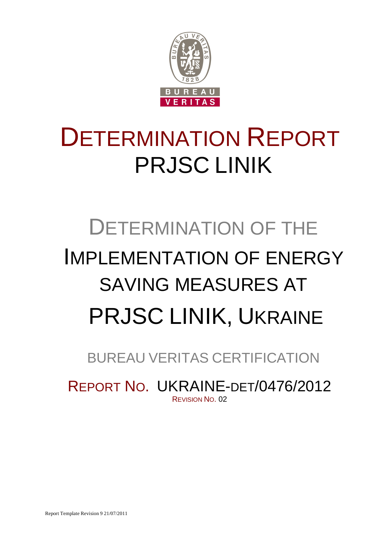

## DETERMINATION REPORT PRJSC LINIK

# DETERMINATION OF THE IMPLEMENTATION OF ENERGY SAVING MEASURES AT PRJSC LINIK, UKRAINE

## BUREAU VERITAS CERTIFICATION

REPORT NO. UKRAINE-DET/0476/2012 REVISION NO. 02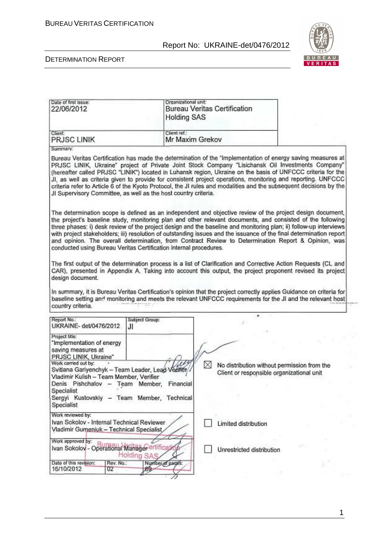

#### DETERMINATION REPORT

| Date of first issue:<br>22/06/2012                                                                                                                                                                                 | Organizational unit:<br><b>Holding SAS</b> | <b>Bureau Veritas Certification</b>                                                                                                                                                                                                                                                                                                                                                                                                                                                                                                                                        |  |
|--------------------------------------------------------------------------------------------------------------------------------------------------------------------------------------------------------------------|--------------------------------------------|----------------------------------------------------------------------------------------------------------------------------------------------------------------------------------------------------------------------------------------------------------------------------------------------------------------------------------------------------------------------------------------------------------------------------------------------------------------------------------------------------------------------------------------------------------------------------|--|
| Client<br>PRJSC LINIK                                                                                                                                                                                              | Client ref.:<br>Mr Maxim Grekov            |                                                                                                                                                                                                                                                                                                                                                                                                                                                                                                                                                                            |  |
| Summary:                                                                                                                                                                                                           |                                            |                                                                                                                                                                                                                                                                                                                                                                                                                                                                                                                                                                            |  |
| JI Supervisory Committee, as well as the host country criteria.                                                                                                                                                    |                                            | Bureau Veritas Certification has made the determination of the "Implementation of energy saving measures at<br>PRJSC LINIK, Ukraine" project of Private Joint Stock Company "Lisichansk Oil Investments Company"<br>(hereafter called PRJSC "LINIK") located in Luhansk region, Ukraine on the basis of UNFCCC criteria for the<br>JI, as well as criteria given to provide for consistent project operations, monitoring and reporting. UNFCCC<br>criteria refer to Article 6 of the Kyoto Protocol, the JI rules and modalities and the subsequent decisions by the      |  |
| conducted using Bureau Veritas Certification internal procedures.                                                                                                                                                  |                                            | The determination scope is defined as an independent and objective review of the project design document,<br>the project's baseline study, monitoring plan and other relevant documents, and consisted of the following<br>three phases: i) desk review of the project design and the baseline and monitoring plan; ii) follow-up interviews<br>with project stakeholders; iii) resolution of outstanding issues and the issuance of the final determination report<br>and opinion. The overall determination, from Contract Review to Determination Report & Opinion, was |  |
| design document.<br>country criteria.                                                                                                                                                                              |                                            | The first output of the determination process is a list of Clarification and Corrective Action Requests (CL and<br>CAR), presented in Appendix A. Taking into account this output, the project proponent revised its project<br>In summary, it is Bureau Veritas Certification's opinion that the project correctly applies Guidance on criteria for<br>baseline setting and monitoring and meets the relevant UNFCCC requirements for the JI and the relevant host                                                                                                        |  |
|                                                                                                                                                                                                                    |                                            | ×                                                                                                                                                                                                                                                                                                                                                                                                                                                                                                                                                                          |  |
| Report No.:<br>UKRAINE- det/0476/2012                                                                                                                                                                              | Subject Group:<br>JI                       |                                                                                                                                                                                                                                                                                                                                                                                                                                                                                                                                                                            |  |
| Project title:<br>"Implementation of energy<br>saving measures at<br>PRJSC LINIK, Ukraine"                                                                                                                         |                                            |                                                                                                                                                                                                                                                                                                                                                                                                                                                                                                                                                                            |  |
| Work carried out by:<br>Svitlana Gariyenchyk - Team Leader, Lead Vedfien<br>Vladimir Kulish - Team Member, Verifier<br>Denis Pishchalov - Team Member,<br>Specialist<br>Sergyi Kustovskiy - Team Member, Technical | Financial                                  | M<br>No distribution without permission from the<br>Client or responsible organizational unit                                                                                                                                                                                                                                                                                                                                                                                                                                                                              |  |
| Specialist                                                                                                                                                                                                         |                                            |                                                                                                                                                                                                                                                                                                                                                                                                                                                                                                                                                                            |  |
| Work reviewed by:<br>Ivan Sokolov - Internal Technical Reviewer<br>Vladimir Gumeniuk - Technical Specialist                                                                                                        |                                            | Limited distribution                                                                                                                                                                                                                                                                                                                                                                                                                                                                                                                                                       |  |
| Work approved by:<br>Ivan Sokolov - Operational Manager ertificati                                                                                                                                                 | Holding SAS                                | Unrestricted distribution                                                                                                                                                                                                                                                                                                                                                                                                                                                                                                                                                  |  |
| Date of this revision:<br>Rev. No.:<br>16/10/2012<br>ŪZ.                                                                                                                                                           | Number of pages:<br>89                     |                                                                                                                                                                                                                                                                                                                                                                                                                                                                                                                                                                            |  |

1

96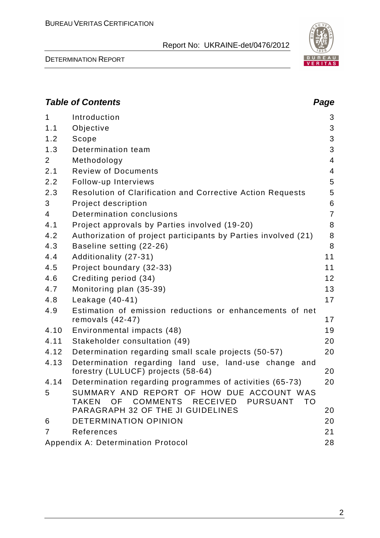

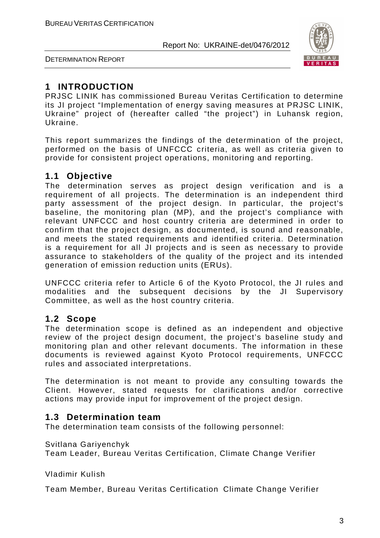

DETERMINATION REPORT

### **1 INTRODUCTION**

PRJSC LINIK has commissioned Bureau Veritas Certification to determine its JI project "Implementation of energy saving measures at PRJSC LINIK, Ukraine" project of (hereafter called "the project") in Luhansk region, Ukraine.

This report summarizes the findings of the determination of the project, performed on the basis of UNFCCC criteria, as well as criteria given to provide for consistent project operations, monitoring and reporting.

#### **1.1 Objective**

The determination serves as project design verification and is a requirement of all projects. The determination is an independent third party assessment of the project design. In particular, the project's baseline, the monitoring plan (MP), and the project's compliance with relevant UNFCCC and host country criteria are determined in order to confirm that the project design, as documented, is sound and reasonable, and meets the stated requirements and identified criteria. Determination is a requirement for all JI projects and is seen as necessary to provide assurance to stakeholders of the quality of the project and its intended generation of emission reduction units (ERUs).

UNFCCC criteria refer to Article 6 of the Kyoto Protocol, the JI rules and modalities and the subsequent decisions by the JI Supervisory Committee, as well as the host country criteria.

#### **1.2 Scope**

The determination scope is defined as an independent and objective review of the project design document, the project's baseline study and monitoring plan and other relevant documents. The information in these documents is reviewed against Kyoto Protocol requirements, UNFCCC rules and associated interpretations.

The determination is not meant to provide any consulting towards the Client. However, stated requests for clarifications and/or corrective actions may provide input for improvement of the project design.

#### **1.3 Determination team**

The determination team consists of the following personnel:

#### Svitlana Gariyenchyk

Team Leader, Bureau Veritas Certification, Climate Change Verifier

Vladimir Kulish

Team Member, Bureau Veritas Certification Climate Change Verifier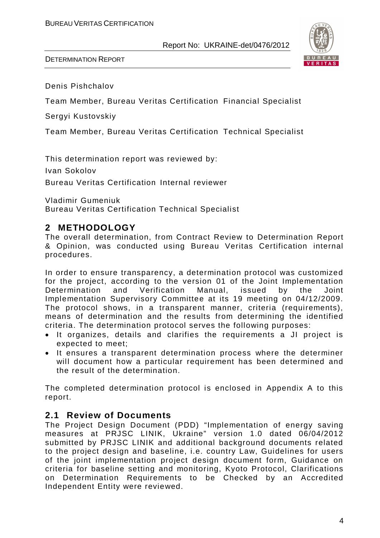



Denis Pishchalov

Team Member, Bureau Veritas Certification Financial Specialist

Sergyi Kustovskiy

Team Member, Bureau Veritas Certification Technical Specialist

This determination report was reviewed by:

Ivan Sokolov

Bureau Veritas Certification Internal reviewer

Vladimir Gumeniuk

Bureau Veritas Certification Technical Specialist

#### **2 METHODOLOGY**

The overall determination, from Contract Review to Determination Report & Opinion, was conducted using Bureau Veritas Certification internal procedures.

In order to ensure transparency, a determination protocol was customized for the project, according to the version 01 of the Joint Implementation Determination and Verification Manual, issued by the Joint Implementation Supervisory Committee at its 19 meeting on 04/12/2009. The protocol shows, in a transparent manner, criteria (requirements), means of determination and the results from determining the identified criteria. The determination protocol serves the following purposes:

- It organizes, details and clarifies the requirements a JI project is expected to meet;
- It ensures a transparent determination process where the determiner will document how a particular requirement has been determined and the result of the determination.

The completed determination protocol is enclosed in Appendix A to this report.

#### **2.1 Review of Documents**

The Project Design Document (PDD) "Implementation of energy saving measures at PRJSC LINIK, Ukraine" version 1.0 dated 06/04/2012 submitted by PRJSC LINIK and additional background documents related to the project design and baseline, i.e. country Law, Guidelines for users of the joint implementation project design document form, Guidance on criteria for baseline setting and monitoring, Kyoto Protocol, Clarifications on Determination Requirements to be Checked by an Accredited Independent Entity were reviewed.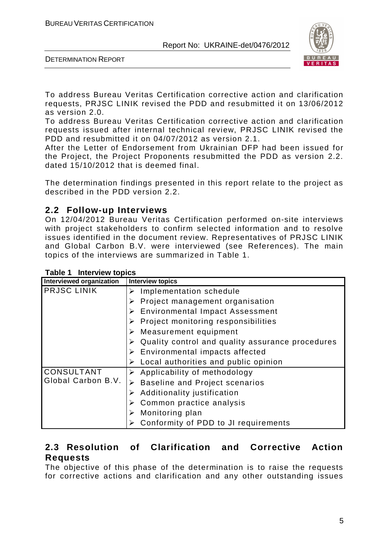

DETERMINATION REPORT

To address Bureau Veritas Certification corrective action and clarification requests, PRJSC LINIK revised the PDD and resubmitted it on 13/06/2012 as version 2.0.

To address Bureau Veritas Certification corrective action and clarification requests issued after internal technical review, PRJSC LINIK revised the PDD and resubmitted it on 04/07/2012 as version 2.1.

After the Letter of Endorsement from Ukrainian DFP had been issued for the Project, the Project Proponents resubmitted the PDD as version 2.2. dated 15/10/2012 that is deemed final.

The determination findings presented in this report relate to the project as described in the PDD version 2.2.

#### **2.2 Follow-up Interviews**

On 12/04/2012 Bureau Veritas Certification performed on-site interviews with project stakeholders to confirm selected information and to resolve issues identified in the document review. Representatives of PRJSC LINIK and Global Carbon B.V. were interviewed (see References). The main topics of the interviews are summarized in Table 1.

| Interviewed organization | <b>Interview topics</b>                          |
|--------------------------|--------------------------------------------------|
| <b>PRJSC LINIK</b>       | Implementation schedule                          |
|                          | Project management organisation                  |
|                          | <b>Environmental Impact Assessment</b><br>➤      |
|                          | Project monitoring responsibilities              |
|                          | Measurement equipment                            |
|                          | Quality control and quality assurance procedures |
|                          | Environmental impacts affected                   |
|                          | Local authorities and public opinion<br>➤        |
| <b>CONSULTANT</b>        | Applicability of methodology<br>➤                |
| Global Carbon B.V.       | <b>Baseline and Project scenarios</b>            |
|                          | Additionality justification                      |
|                          | Common practice analysis                         |
|                          | Monitoring plan                                  |
|                          | Conformity of PDD to JI requirements             |

**Table 1 Interview topics** 

#### **2.3 Resolution of Clarification and Corrective Action Requests**

The objective of this phase of the determination is to raise the requests for corrective actions and clarification and any other outstanding issues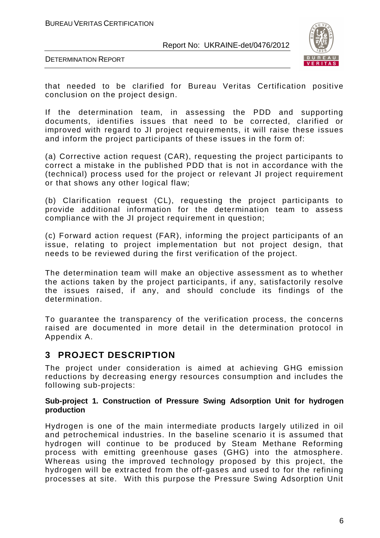

DETERMINATION REPORT

that needed to be clarified for Bureau Veritas Certification positive conclusion on the project design.

If the determination team, in assessing the PDD and supporting documents, identifies issues that need to be corrected, clarified or improved with regard to JI project requirements, it will raise these issues and inform the project participants of these issues in the form of:

(a) Corrective action request (CAR), requesting the project participants to correct a mistake in the published PDD that is not in accordance with the (technical) process used for the project or relevant JI project requirement or that shows any other logical flaw;

(b) Clarification request (CL), requesting the project participants to provide additional information for the determination team to assess compliance with the JI project requirement in question;

(c) Forward action request (FAR), informing the project participants of an issue, relating to project implementation but not project design, that needs to be reviewed during the first verification of the project.

The determination team will make an objective assessment as to whether the actions taken by the project participants, if any, satisfactorily resolve the issues raised, if any, and should conclude its findings of the determination.

To guarantee the transparency of the verification process, the concerns raised are documented in more detail in the determination protocol in Appendix A.

### **3 PROJECT DESCRIPTION**

The project under consideration is aimed at achieving GHG emission reductions by decreasing energy resources consumption and includes the following sub-projects:

#### **Sub-project 1. Construction of Pressure Swing Adsorption Unit for hydrogen production**

Hydrogen is one of the main intermediate products largely utilized in oil and petrochemical industries. In the baseline scenario it is assumed that hydrogen will continue to be produced by Steam Methane Reforming process with emitting greenhouse gases (GHG) into the atmosphere. Whereas using the improved technology proposed by this project, the hydrogen will be extracted from the off-gases and used to for the refining processes at site. With this purpose the Pressure Swing Adsorption Unit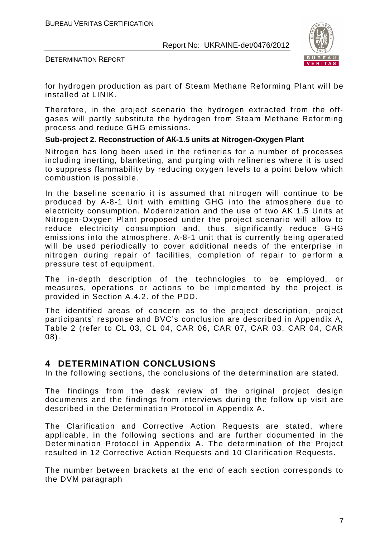

DETERMINATION REPORT

for hydrogen production as part of Steam Methane Reforming Plant will be installed at LINIK.

Therefore, in the project scenario the hydrogen extracted from the offgases will partly substitute the hydrogen from Steam Methane Reforming process and reduce GHG emissions.

#### **Sub-project 2. Reconstruction of AK-1.5 units at Nitrogen-Oxygen Plant**

Nitrogen has long been used in the refineries for a number of processes including inerting, blanketing, and purging with refineries where it is used to suppress flammability by reducing oxygen levels to a point below which combustion is possible.

In the baseline scenario it is assumed that nitrogen will continue to be produced by A-8-1 Unit with emitting GHG into the atmosphere due to electricity consumption. Modernization and the use of two AK 1.5 Units at Nitrogen-Oxygen Plant proposed under the project scenario will allow to reduce electricity consumption and, thus, significantly reduce GHG emissions into the atmosphere. A-8-1 unit that is currently being operated will be used periodically to cover additional needs of the enterprise in nitrogen during repair of facilities, completion of repair to perform a pressure test of equipment.

The in-depth description of the technologies to be employed, or measures, operations or actions to be implemented by the project is provided in Section A.4.2. of the PDD.

The identified areas of concern as to the project description, project participants' response and BVC's conclusion are described in Appendix A, Table 2 (refer to CL 03, CL 04, CAR 06, CAR 07, CAR 03, CAR 04, CAR 08).

#### **4 DETERMINATION CONCLUSIONS**

In the following sections, the conclusions of the determination are stated.

The findings from the desk review of the original project design documents and the findings from interviews during the follow up visit are described in the Determination Protocol in Appendix A.

The Clarification and Corrective Action Requests are stated, where applicable, in the following sections and are further documented in the Determination Protocol in Appendix A. The determination of the Project resulted in 12 Corrective Action Requests and 10 Clarification Requests.

The number between brackets at the end of each section corresponds to the DVM paragraph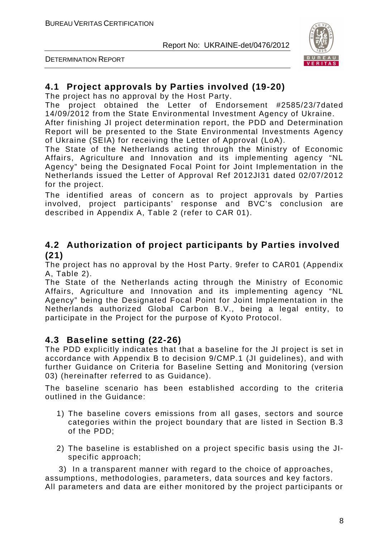

DETERMINATION REPORT

#### **4.1 Project approvals by Parties involved (19-20)**

The project has no approval by the Host Party.

The project obtained the Letter of Endorsement #2585/23/7dated 14/09/2012 from the State Environmental Investment Agency of Ukraine.

After finishing JI project determination report, the PDD and Determination Report will be presented to the State Environmental Investments Agency of Ukraine (SEIA) for receiving the Letter of Approval (LoA).

The State of the Netherlands acting through the Ministry of Economic Affairs, Agriculture and Innovation and its implementing agency "NL Agency" being the Designated Focal Point for Joint Implementation in the Netherlands issued the Letter of Approval Ref 2012JI31 dated 02/07/2012 for the project.

The identified areas of concern as to project approvals by Parties involved, project participants' response and BVC's conclusion are described in Appendix A, Table 2 (refer to CAR 01).

#### **4.2 Authorization of project participants by Parties involved (21)**

The project has no approval by the Host Party. 9refer to CAR01 (Appendix A, Table 2).

The State of the Netherlands acting through the Ministry of Economic Affairs, Agriculture and Innovation and its implementing agency "NL Agency" being the Designated Focal Point for Joint Implementation in the Netherlands authorized Global Carbon B.V., being a legal entity, to participate in the Project for the purpose of Kyoto Protocol.

#### **4.3 Baseline setting (22-26)**

The PDD explicitly indicates that that a baseline for the JI project is set in accordance with Appendix B to decision 9/CMP.1 (JI guidelines), and with further Guidance on Criteria for Baseline Setting and Monitoring (version 03) (hereinafter referred to as Guidance).

The baseline scenario has been established according to the criteria outlined in the Guidance:

- 1) The baseline covers emissions from all gases, sectors and source categories within the project boundary that are listed in Section B.3 of the PDD;
- 2) The baseline is established on a project specific basis using the JIspecific approach;

 3) In a transparent manner with regard to the choice of approaches, assumptions, methodologies, parameters, data sources and key factors. All parameters and data are either monitored by the project participants or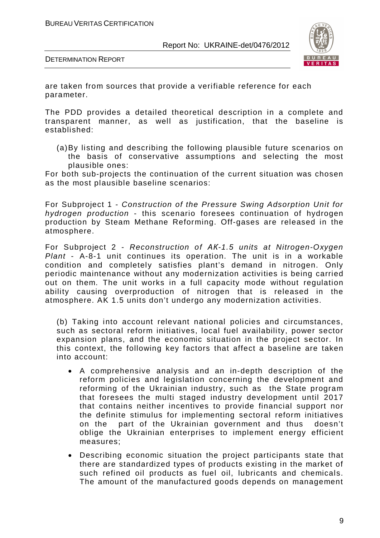

DETERMINATION REPORT

are taken from sources that provide a verifiable reference for each parameter.

The PDD provides a detailed theoretical description in a complete and transparent manner, as well as justification, that the baseline is established:

(a) By listing and describing the following plausible future scenarios on the basis of conservative assumptions and selecting the most plausible ones:

For both sub-projects the continuation of the current situation was chosen as the most plausible baseline scenarios:

For Subproject 1 - *Construction of the Pressure Swing Adsorption Unit for hydrogen production* - this scenario foresees continuation of hydrogen production by Steam Methane Reforming. Off-gases are released in the atmosphere.

For Subproject 2 - *Reconstruction of AK-1.5 units at Nitrogen-Oxygen Plant* - A-8-1 unit continues its operation. The unit is in a workable condition and completely satisfies plant's demand in nitrogen. Only periodic maintenance without any modernization activities is being carried out on them. The unit works in a full capacity mode without regulation ability causing overproduction of nitrogen that is released in the atmosphere. AK 1.5 units don't undergo any modernization activities.

(b) Taking into account relevant national policies and circumstances, such as sectoral reform initiatives, local fuel availability, power sector expansion plans, and the economic situation in the project sector. In this context, the following key factors that affect a baseline are taken into account:

- A comprehensive analysis and an in-depth description of the reform policies and legislation concerning the development and reforming of the Ukrainian industry, such as the State program that foresees the multi staged industry development until 2017 that contains neither incentives to provide financial support nor the definite stimulus for implementing sectoral reform initiatives on the part of the Ukrainian government and thus doesn't oblige the Ukrainian enterprises to implement energy efficient measures;
- Describing economic situation the project participants state that there are standardized types of products existing in the market of such refined oil products as fuel oil, lubricants and chemicals. The amount of the manufactured goods depends on management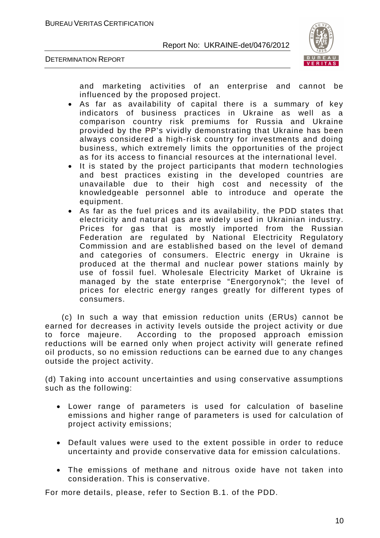



and marketing activities of an enterprise and cannot be influenced by the proposed project.

- As far as availability of capital there is a summary of key indicators of business practices in Ukraine as well as a comparison country risk premiums for Russia and Ukraine provided by the PP's vividly demonstrating that Ukraine has been always considered a high-risk country for investments and doing business, which extremely limits the opportunities of the project as for its access to financial resources at the international level.
- It is stated by the project participants that modern technologies and best practices existing in the developed countries are unavailable due to their high cost and necessity of the knowledgeable personnel able to introduce and operate the equipment.
- As far as the fuel prices and its availability, the PDD states that electricity and natural gas are widely used in Ukrainian industry. Prices for gas that is mostly imported from the Russian Federation are regulated by National Electricity Regulatory Commission and are established based on the level of demand and categories of consumers. Electric energy in Ukraine is produced at the thermal and nuclear power stations mainly by use of fossil fuel. Wholesale Electricity Market of Ukraine is managed by the state enterprise "Energorynok"; the level of prices for electric energy ranges greatly for different types of consumers.

 (c) In such a way that emission reduction units (ERUs) cannot be earned for decreases in activity levels outside the project activity or due to force majeure. According to the proposed approach emission reductions will be earned only when project activity will generate refined oil products, so no emission reductions can be earned due to any changes outside the project activity.

(d) Taking into account uncertainties and using conservative assumptions such as the following:

- Lower range of parameters is used for calculation of baseline emissions and higher range of parameters is used for calculation of project activity emissions;
- Default values were used to the extent possible in order to reduce uncertainty and provide conservative data for emission calculations.
- The emissions of methane and nitrous oxide have not taken into consideration. This is conservative.

For more details, please, refer to Section B.1. of the PDD.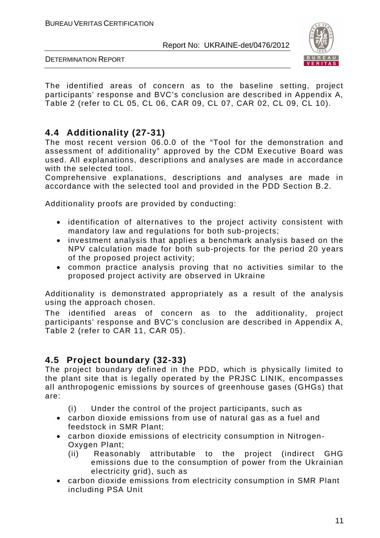

DETERMINATION REPORT

The identified areas of concern as to the baseline setting, project participants' response and BVC's conclusion are described in Appendix A, Table 2 (refer to CL 05, CL 06, CAR 09, CL 07, CAR 02, CL 09, CL 10).

### **4.4 Additionality (27-31)**

The most recent version 06.0.0 of the "Tool for the demonstration and assessment of additionality" approved by the CDM Executive Board was used. All explanations, descriptions and analyses are made in accordance with the selected tool.

Comprehensive explanations, descriptions and analyses are made in accordance with the selected tool and provided in the PDD Section B.2.

Additionality proofs are provided by conducting:

- identification of alternatives to the project activity consistent with mandatory law and regulations for both sub-projects;
- investment analysis that applies a benchmark analysis based on the NPV calculation made for both sub-projects for the period 20 years of the proposed project activity;
- common practice analysis proving that no activities similar to the proposed project activity are observed in Ukraine

Additionality is demonstrated appropriately as a result of the analysis using the approach chosen.

The identified areas of concern as to the additionality, project participants' response and BVC's conclusion are described in Appendix A, Table 2 (refer to CAR 11, CAR 05).

#### **4.5 Project boundary (32-33)**

The project boundary defined in the PDD, which is physically limited to the plant site that is legally operated by the PRJSC LINIK, encompasses all anthropogenic emissions by sources of greenhouse gases (GHGs) that are:

- (i) Under the control of the project participants, such as
- carbon dioxide emissions from use of natural gas as a fuel and feedstock in SMR Plant;
- carbon dioxide emissions of electricity consumption in Nitrogen-Oxygen Plant;
	- (ii) Reasonably attributable to the project (indirect GHG emissions due to the consumption of power from the Ukrainian electricity grid), such as
- carbon dioxide emissions from electricity consumption in SMR Plant including PSA Unit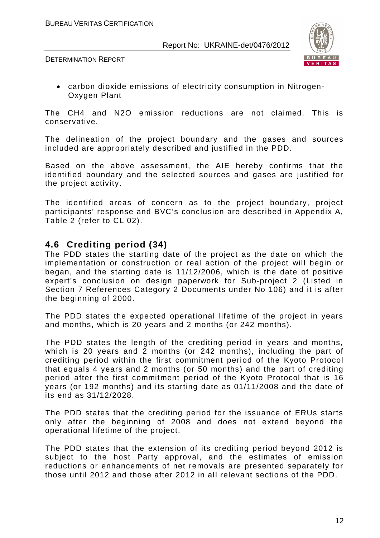

• carbon dioxide emissions of electricity consumption in Nitrogen-Oxygen Plant

The CH4 and N2O emission reductions are not claimed. This is conservative.

The delineation of the project boundary and the gases and sources included are appropriately described and justified in the PDD.

Based on the above assessment, the AIE hereby confirms that the identified boundary and the selected sources and gases are justified for the project activity.

The identified areas of concern as to the project boundary, project participants' response and BVC's conclusion are described in Appendix A, Table 2 (refer to CL 02).

#### **4.6 Crediting period (34)**

The PDD states the starting date of the project as the date on which the implementation or construction or real action of the project will begin or began, and the starting date is 11/12/2006, which is the date of positive expert's conclusion on design paperwork for Sub-project 2 (Listed in Section 7 References Category 2 Documents under No 106) and it is after the beginning of 2000.

The PDD states the expected operational lifetime of the project in years and months, which is 20 years and 2 months (or 242 months).

The PDD states the length of the crediting period in years and months, which is 20 years and 2 months (or 242 months), including the part of crediting period within the first commitment period of the Kyoto Protocol that equals 4 years and 2 months (or 50 months) and the part of crediting period after the first commitment period of the Kyoto Protocol that is 16 years (or 192 months) and its starting date as 01/11/2008 and the date of its end as 31/12/2028.

The PDD states that the crediting period for the issuance of ERUs starts only after the beginning of 2008 and does not extend beyond the operational lifetime of the project.

The PDD states that the extension of its crediting period beyond 2012 is subject to the host Party approval, and the estimates of emission reductions or enhancements of net removals are presented separately for those until 2012 and those after 2012 in all relevant sections of the PDD.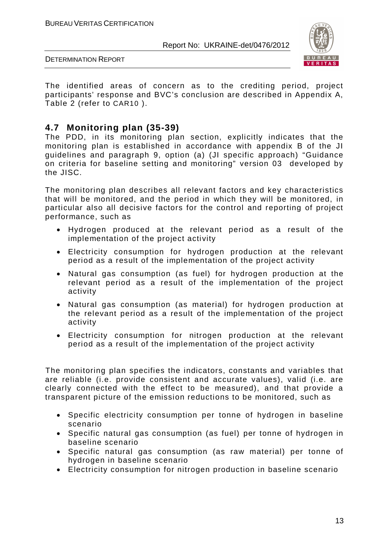

DETERMINATION REPORT

The identified areas of concern as to the crediting period, project participants' response and BVC's conclusion are described in Appendix A, Table 2 (refer to CAR10 ).

#### **4.7 Monitoring plan (35-39)**

The PDD, in its monitoring plan section, explicitly indicates that the monitoring plan is established in accordance with appendix B of the JI guidelines and paragraph 9, option (a) (JI specific approach) "Guidance on criteria for baseline setting and monitoring" version 03 developed by the JISC.

The monitoring plan describes all relevant factors and key characteristics that will be monitored, and the period in which they will be monitored, in particular also all decisive factors for the control and reporting of project performance, such as

- Hydrogen produced at the relevant period as a result of the implementation of the project activity
- Electricity consumption for hydrogen production at the relevant period as a result of the implementation of the project activity
- Natural gas consumption (as fuel) for hydrogen production at the relevant period as a result of the implementation of the project activity
- Natural gas consumption (as material) for hydrogen production at the relevant period as a result of the implementation of the project activity
- Electricity consumption for nitrogen production at the relevant period as a result of the implementation of the project activity

The monitoring plan specifies the indicators, constants and variables that are reliable (i.e. provide consistent and accurate values), valid (i.e. are clearly connected with the effect to be measured), and that provide a transparent picture of the emission reductions to be monitored, such as

- Specific electricity consumption per tonne of hydrogen in baseline scenario
- Specific natural gas consumption (as fuel) per tonne of hydrogen in baseline scenario
- Specific natural gas consumption (as raw material) per tonne of hydrogen in baseline scenario
- Electricity consumption for nitrogen production in baseline scenario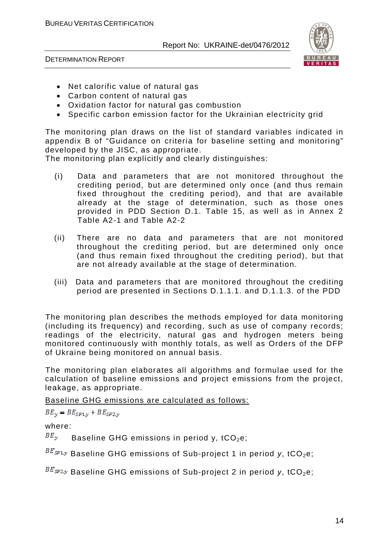

DETERMINATION REPORT

- Net calorific value of natural gas
- Carbon content of natural gas
- Oxidation factor for natural gas combustion
- Specific carbon emission factor for the Ukrainian electricity grid

The monitoring plan draws on the list of standard variables indicated in appendix B of "Guidance on criteria for baseline setting and monitoring" developed by the JISC, as appropriate.

The monitoring plan explicitly and clearly distinguishes:

- (i) Data and parameters that are not monitored throughout the crediting period, but are determined only once (and thus remain fixed throughout the crediting period), and that are available already at the stage of determination, such as those ones provided in PDD Section D.1. Table 15, as well as in Annex 2 Table A2-1 and Table A2-2
- (ii) There are no data and parameters that are not monitored throughout the crediting period, but are determined only once (and thus remain fixed throughout the crediting period), but that are not already available at the stage of determination.
- (iii) Data and parameters that are monitored throughout the crediting period are presented in Sections D.1.1.1. and D.1.1.3. of the PDD

The monitoring plan describes the methods employed for data monitoring (including its frequency) and recording, such as use of company records; readings of the electricity, natural gas and hydrogen meters being monitored continuously with monthly totals, as well as Orders of the DFP of Ukraine being monitored on annual basis.

The monitoring plan elaborates all algorithms and formulae used for the calculation of baseline emissions and project emissions from the project, leakage, as appropriate.

Baseline GHG emissions are calculated as follows:

 $BE_{\gamma} = BE_{SP1,\gamma} + BE_{SP2,\gamma}$ 

where:

 $B E_y$  Baseline GHG emissions in period y, tCO<sub>2</sub>e;

 $B E_{SPL,y}$  Baseline GHG emissions of Sub-project 1 in period y, tCO<sub>2</sub>e;

 $B E_{S P2,y}$  Baseline GHG emissions of Sub-project 2 in period y, tCO<sub>2</sub>e;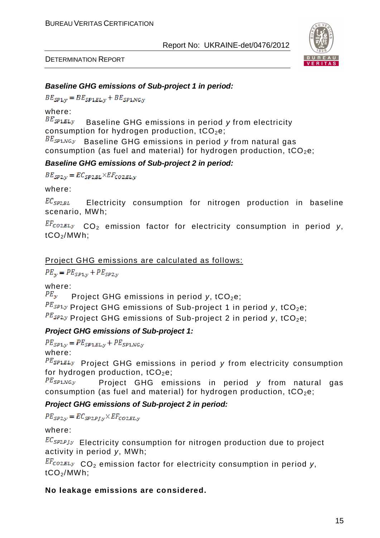

#### *Baseline GHG emissions of Sub-project 1 in period:*

 $BE_{SP1,y} = BE_{SP1, BL,y} + BE_{SP1, NG,y}$ 

where:

BE<sub>SP1,EL<sub>y</sub> Baseline GHG emissions in period *y* from electricity</sub> consumption for hydrogen production,  $tCO<sub>2</sub>e$ ;

BE<sub>SP1,NG</sub><sub>y</sub> Baseline GHG emissions in period y from natural gas consumption (as fuel and material) for hydrogen production,  $tCO<sub>2</sub>e$ ;

#### *Baseline GHG emissions of Sub-project 2 in period:*

 $BE_{SP2,y} = EC_{SP2, BL} \times EF_{CO2, EL, y}$ 

where:

 $EC_{SP2, BL}$  Electricity consumption for nitrogen production in baseline scenario, MWh;

 CO2 emission factor for electricity consumption in period *y*,  $tCO<sub>2</sub>/MWh$ :

#### Project GHG emissions are calculated as follows:

 $PE_v = PE_{SP1,v} + PE_{SP2,v}$ 

where:

 $PE_y$  Project GHG emissions in period *y*, tCO<sub>2</sub>e;

 $PE_{SP1,y}$  Project GHG emissions of Sub-project 1 in period y, tCO<sub>2</sub>e;

PE<sub>SP2</sub>y Project GHG emissions of Sub-project 2 in period y, tCO<sub>2</sub>e;

#### *Project GHG emissions of Sub-project 1:*

 $PE_{SP1,v} = PE_{SP1,EL,v} + PE_{SP1,NG,v}$ 

where:

PE<sub>SP1,ELJ</sub> Project GHG emissions in period *y* from electricity consumption for hydrogen production,  $tCO<sub>2</sub>e$ ;

 $PE_{SP1,NG, y}$  Project GHG emissions in period *y* from natural gas consumption (as fuel and material) for hydrogen production,  $tCO<sub>2</sub>e$ ;

*Project GHG emissions of Sub-project 2 in period:* 

 $PE_{SP2,v} = EC_{SP2,P1,v} \times EF_{CO2,EL,v}$ 

where:

 $EC_{SP2,PJ,y}$  Electricity consumption for nitrogen production due to project activity in period *y*, MWh;

 CO2 emission factor for electricity consumption in period *y*, tCO2/MWh;

#### **No leakage emissions are considered.**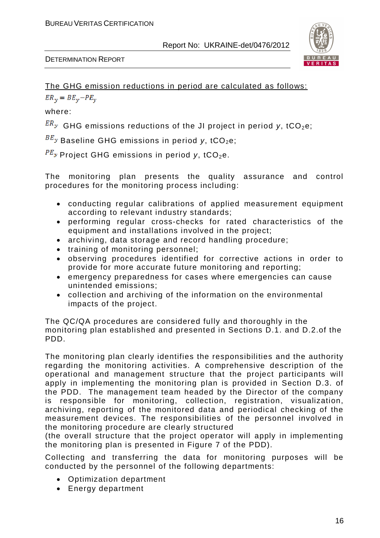

#### The GHG emission reductions in period are calculated as follows:

 $ER_v = BE_v - PE_v$ 

where:

 $ER_y$  GHG emissions reductions of the JI project in period y, tCO<sub>2</sub>e;

BE<sub>y</sub> Baseline GHG emissions in period y, tCO<sub>2</sub>e;

 $PE_y$  Project GHG emissions in period y, tCO<sub>2</sub>e.

The monitoring plan presents the quality assurance and control procedures for the monitoring process including:

- conducting regular calibrations of applied measurement equipment according to relevant industry standards;
- performing regular cross-checks for rated characteristics of the equipment and installations involved in the project;
- archiving, data storage and record handling procedure;
- training of monitoring personnel;
- observing procedures identified for corrective actions in order to provide for more accurate future monitoring and reporting;
- emergency preparedness for cases where emergencies can cause unintended emissions;
- collection and archiving of the information on the environmental impacts of the project.

The QC/QA procedures are considered fully and thoroughly in the monitoring plan established and presented in Sections D.1. and D.2.of the PDD.

The monitoring plan clearly identifies the responsibilities and the authority regarding the monitoring activities. A comprehensive description of the operational and management structure that the project participants will apply in implementing the monitoring plan is provided in Section D.3. of the PDD. The management team headed by the Director of the company is responsible for monitoring, collection, registration, visualization, archiving, reporting of the monitored data and periodical checking of the measurement devices. The responsibilities of the personnel involved in the monitoring procedure are clearly structured

(the overall structure that the project operator will apply in implementing the monitoring plan is presented in Figure 7 of the PDD).

Collecting and transferring the data for monitoring purposes will be conducted by the personnel of the following departments:

- Optimization department
- Energy department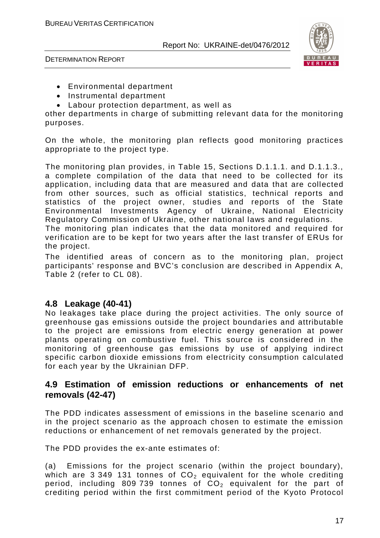

DETERMINATION REPORT

- Environmental department
- Instrumental department
- Labour protection department, as well as

other departments in charge of submitting relevant data for the monitoring purposes.

On the whole, the monitoring plan reflects good monitoring practices appropriate to the project type.

The monitoring plan provides, in Table 15, Sections D.1.1.1. and D.1.1.3., a complete compilation of the data that need to be collected for its application, including data that are measured and data that are collected from other sources, such as official statistics, technical reports and statistics of the project owner, studies and reports of the State Environmental Investments Agency of Ukraine, National Electricity Regulatory Commission of Ukraine, other national laws and regulations.

The monitoring plan indicates that the data monitored and required for verification are to be kept for two years after the last transfer of ERUs for the project.

The identified areas of concern as to the monitoring plan, project participants' response and BVC's conclusion are described in Appendix A, Table 2 (refer to CL 08).

#### **4.8 Leakage (40-41)**

No leakages take place during the project activities. The only source of greenhouse gas emissions outside the project boundaries and attributable to the project are emissions from electric energy generation at power plants operating on combustive fuel. This source is considered in the monitoring of greenhouse gas emissions by use of applying indirect specific carbon dioxide emissions from electricity consumption calculated for each year by the Ukrainian DFP.

#### **4.9 Estimation of emission reductions or enhancements of net removals (42-47)**

The PDD indicates assessment of emissions in the baseline scenario and in the project scenario as the approach chosen to estimate the emission reductions or enhancement of net removals generated by the project.

The PDD provides the ex-ante estimates of:

(a) Emissions for the project scenario (within the project boundary), which are 3 349 131 tonnes of  $CO<sub>2</sub>$  equivalent for the whole crediting period, including 809 739 tonnes of  $CO<sub>2</sub>$  equivalent for the part of crediting period within the first commitment period of the Kyoto Protocol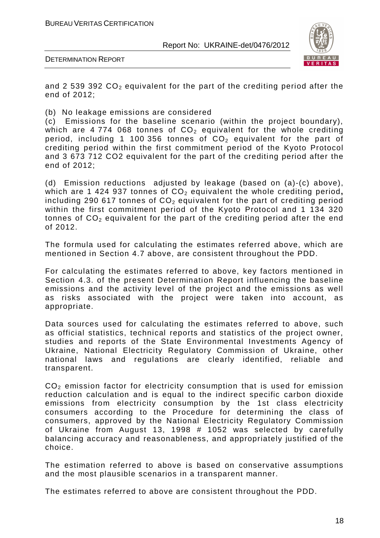



and 2 539 392  $CO<sub>2</sub>$  equivalent for the part of the crediting period after the end of 2012;

(b) No leakage emissions are considered

(c) Emissions for the baseline scenario (within the project boundary), which are 4 774 068 tonnes of  $CO<sub>2</sub>$  equivalent for the whole crediting period, including 1 100 356 tonnes of  $CO<sub>2</sub>$  equivalent for the part of crediting period within the first commitment period of the Kyoto Protocol and 3 673 712 CO2 equivalent for the part of the crediting period after the end of 2012;

(d) Emission reductions adjusted by leakage (based on (a)-(c) above), which are 1 424 937 tonnes of CO<sub>2</sub> equivalent the whole crediting period, including 290 617 tonnes of  $CO<sub>2</sub>$  equivalent for the part of crediting period within the first commitment period of the Kyoto Protocol and 1 134 320 tonnes of  $CO<sub>2</sub>$  equivalent for the part of the crediting period after the end of 2012.

The formula used for calculating the estimates referred above, which are mentioned in Section 4.7 above, are consistent throughout the PDD.

For calculating the estimates referred to above, key factors mentioned in Section 4.3. of the present Determination Report influencing the baseline emissions and the activity level of the project and the emissions as well as risks associated with the project were taken into account, as appropriate.

Data sources used for calculating the estimates referred to above, such as official statistics, technical reports and statistics of the project owner, studies and reports of the State Environmental Investments Agency of Ukraine, National Electricity Regulatory Commission of Ukraine, other national laws and regulations are clearly identified, reliable and transparent.

 $CO<sub>2</sub>$  emission factor for electricity consumption that is used for emission reduction calculation and is equal to the indirect specific carbon dioxide emissions from electricity consumption by the 1st class electricity consumers according to the Procedure for determining the class of consumers, approved by the National Electricity Regulatory Commission of Ukraine from August 13, 1998 # 1052 was selected by carefully balancing accuracy and reasonableness, and appropriately justified of the choice.

The estimation referred to above is based on conservative assumptions and the most plausible scenarios in a transparent manner.

The estimates referred to above are consistent throughout the PDD.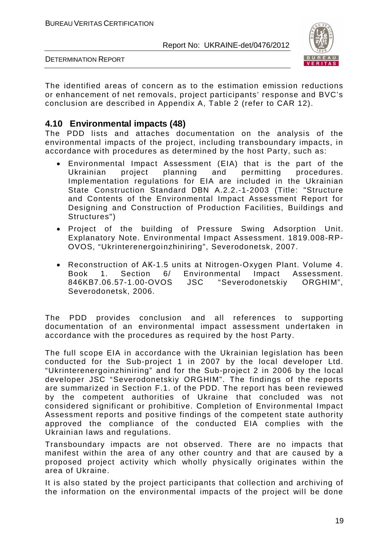

DETERMINATION REPORT

The identified areas of concern as to the estimation emission reductions or enhancement of net removals, project participants' response and BVC's conclusion are described in Appendix A, Table 2 (refer to CAR 12).

#### **4.10 Environmental impacts (48)**

The PDD lists and attaches documentation on the analysis of the environmental impacts of the project, including transboundary impacts, in accordance with procedures as determined by the host Party, such as:

- Environmental Impact Assessment (EIA) that is the part of the Ukrainian project planning and permitting procedures. Implementation regulations for EIA are included in the Ukrainian State Construction Standard DBN A.2.2.-1-2003 (Title: "Structure and Contents of the Environmental Impact Assessment Report for Designing and Construction of Production Facilities, Buildings and Structures")
- Project of the building of Pressure Swing Adsorption Unit. Explanatory Note. Environmental Impact Assessment. 1819.008-RP-OVOS, "Ukrinterenergoinzhiniring", Severodonetsk, 2007.
- Reconstruction of AK-1.5 units at Nitrogen-Oxygen Plant. Volume 4. Book 1. Section 6/ Environmental Impact Assessment. 846KB7.06.57-1.00-OVOS JSC "Severodonetskiy ORGHIM", Severodonetsk, 2006.

The PDD provides conclusion and all references to supporting documentation of an environmental impact assessment undertaken in accordance with the procedures as required by the host Party.

The full scope EIA in accordance with the Ukrainian legislation has been conducted for the Sub-project 1 in 2007 by the local developer Ltd. "Ukrinterenergoinzhiniring" and for the Sub-project 2 in 2006 by the local developer JSC "Severodonetskiy ORGHIM". The findings of the reports are summarized in Section F.1. of the PDD. The report has been reviewed by the competent authorities of Ukraine that concluded was not considered significant or prohibitive. Completion of Environmental Impact Assessment reports and positive findings of the competent state authority approved the compliance of the conducted EIA complies with the Ukrainian laws and regulations.

Transboundary impacts are not observed. There are no impacts that manifest within the area of any other country and that are caused by a proposed project activity which wholly physically originates within the area of Ukraine.

It is also stated by the project participants that collection and archiving of the information on the environmental impacts of the project will be done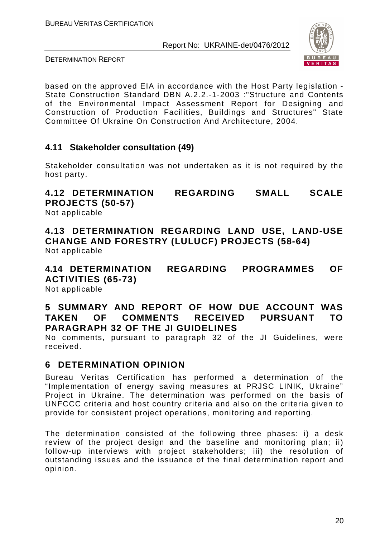

DETERMINATION REPORT

based on the approved EIA in accordance with the Host Party legislation - State Construction Standard DBN A.2.2.-1-2003 :"Structure and Contents of the Environmental Impact Assessment Report for Designing and Construction of Production Facilities, Buildings and Structures" State Committee Of Ukraine On Construction And Architecture, 2004.

#### **4.11 Stakeholder consultation (49)**

Stakeholder consultation was not undertaken as it is not required by the host party.

**4.12 DETERMINATION REGARDING SMALL SCALE PROJECTS (50-57)** 

Not applicable

**4.13 DETERMINATION REGARDING LAND USE, LAND-USE CHANGE AND FORESTRY (LULUCF) PROJECTS (58-64)**  Not applicable

**4.14 DETERMINATION REGARDING PROGRAMMES OF ACTIVITIES (65-73)**  Not applicable

#### **5 SUMMARY AND REPORT OF HOW DUE ACCOUNT WAS TAKEN OF COMMENTS RECEIVED PURSUANT TO PARAGRAPH 32 OF THE JI GUIDELINES**

No comments, pursuant to paragraph 32 of the JI Guidelines, were received.

#### **6 DETERMINATION OPINION**

Bureau Veritas Certification has performed a determination of the "Implementation of energy saving measures at PRJSC LINIK, Ukraine" Project in Ukraine. The determination was performed on the basis of UNFCCC criteria and host country criteria and also on the criteria given to provide for consistent project operations, monitoring and reporting.

The determination consisted of the following three phases: i) a desk review of the project design and the baseline and monitoring plan; ii) follow-up interviews with project stakeholders; iii) the resolution of outstanding issues and the issuance of the final determination report and opinion.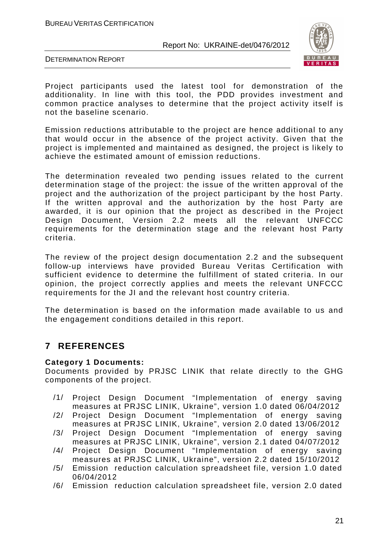BUREAU VERITAS CERTIFICATION

Report No: UKRAINE-det/0476/2012



DETERMINATION REPORT

Project participants used the latest tool for demonstration of the additionality. In line with this tool, the PDD provides investment and common practice analyses to determine that the project activity itself is not the baseline scenario.

Emission reductions attributable to the project are hence additional to any that would occur in the absence of the project activity. Given that the project is implemented and maintained as designed, the project is likely to achieve the estimated amount of emission reductions.

The determination revealed two pending issues related to the current determination stage of the project: the issue of the written approval of the project and the authorization of the project participant by the host Party. If the written approval and the authorization by the host Party are awarded, it is our opinion that the project as described in the Project Design Document, Version 2.2 meets all the relevant UNFCCC requirements for the determination stage and the relevant host Party criteria.

The review of the project design documentation 2.2 and the subsequent follow-up interviews have provided Bureau Veritas Certification with sufficient evidence to determine the fulfillment of stated criteria. In our opinion, the project correctly applies and meets the relevant UNFCCC requirements for the JI and the relevant host country criteria.

The determination is based on the information made available to us and the engagement conditions detailed in this report.

### **7 REFERENCES**

#### **Category 1 Documents:**

Documents provided by PRJSC LINIK that relate directly to the GHG components of the project.

- /1/ Project Design Document "Implementation of energy saving measures at PRJSC LINIK, Ukraine", version 1.0 dated 06/04/2012
- /2/ Project Design Document "Implementation of energy saving measures at PRJSC LINIK, Ukraine", version 2.0 dated 13/06/2012
- /3/ Project Design Document "Implementation of energy saving measures at PRJSC LINIK, Ukraine", version 2.1 dated 04/07/2012
- /4/ Project Design Document "Implementation of energy saving measures at PRJSC LINIK, Ukraine", version 2.2 dated 15/10/2012
- /5/ Emission reduction calculation spreadsheet file, version 1.0 dated 06/04/2012
- /6/ Emission reduction calculation spreadsheet file, version 2.0 dated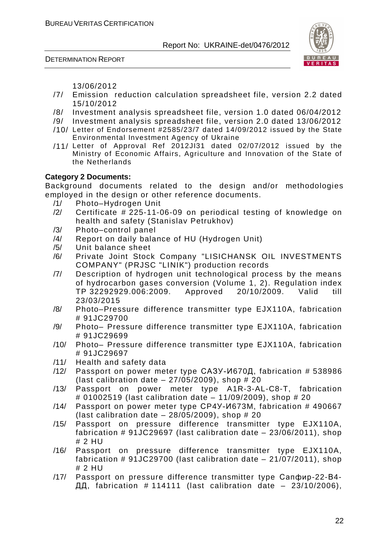DETERMINATION REPORT



13/06/2012

- /7/ Emission reduction calculation spreadsheet file, version 2.2 dated 15/10/2012
- /8/ Investment analysis spreadsheet file, version 1.0 dated 06/04/2012
- /9/ Investment analysis spreadsheet file, version 2.0 dated 13/06/2012
- /10/ Letter of Endorsement #2585/23/7 dated 14/09/2012 issued by the State Environmental Investment Agency of Ukraine
- /11/ Letter of Approval Ref 2012JI31 dated 02/07/2012 issued by the Ministry of Economic Affairs, Agriculture and Innovation of the State of the Netherlands

#### **Category 2 Documents:**

Background documents related to the design and/or methodologies employed in the design or other reference documents.

- /1/ Photo–Hydrogen Unit
- /2/ Certificate # 225-11-06-09 on periodical testing of knowledge on health and safety (Stanislav Petrukhov)
- /3/ Photo–control panel
- /4/ Report on daily balance of HU (Hydrogen Unit)
- /5/ Unit balance sheet
- /6/ Private Joint Stock Company "LISICHANSK OIL INVESTMENTS COMPANY" (PRJSC "LINIK") production records
- /7/ Description of hydrogen unit technological process by the means of hydrocarbon gases conversion (Volume 1, 2). Regulation index<br>TP 32292929.006:2009. Approved 20/10/2009. Valid till TP 32292929.006:2009. Approved 20/10/2009. Valid till 23/03/2015
- /8/ Photo–Pressure difference transmitter type EJX110A, fabrication # 91JC29700
- /9/ Photo– Pressure difference transmitter type EJX110A, fabrication # 91JC29699
- /10/ Photo– Pressure difference transmitter type EJX110A, fabrication # 91JC29697
- /11/ Health and safety data
- /12/ Passport on power meter type САЗУ-И670Д, fabrication # 538986 (last calibration date  $-27/05/2009$ ), shop # 20
- /13/ Passport on power meter type A1R-3-AL-C8-T, fabrication # 01002519 (last calibration date – 11/09/2009), shop # 20
- /14/ Passport on power meter type CP4Y-*V*1673M, fabrication # 490667 (last calibration date  $-28/05/2009$ ), shop # 20
- /15/ Passport on pressure difference transmitter type EJX110A, fabrication # 91JC29697 (last calibration date – 23/06/2011), shop # 2 HU
- /16/ Passport on pressure difference transmitter type EJX110A, fabrication # 91JC29700 (last calibration date – 21/07/2011), shop # 2 HU
- /17/ Passport on pressure difference transmitter type Сапфир-22-В4- $\overline{\text{III}}$ , fabrication # 114111 (last calibration date – 23/10/2006).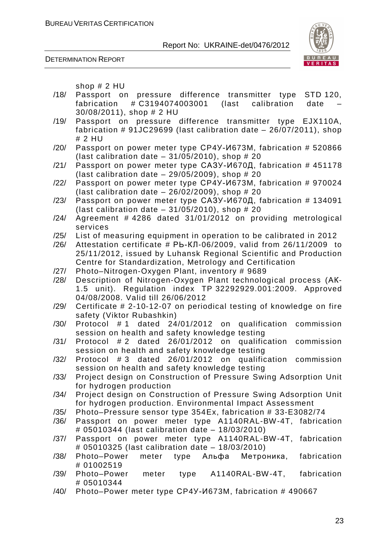



shop # 2 HU

- /18/ Passport on pressure difference transmitter type STD 120, fabrication # C3194074003001 (last calibration date – 30/08/2011), shop # 2 HU
- /19/ Passport on pressure difference transmitter type EJX110A, fabrication # 91JC29699 (last calibration date – 26/07/2011), shop # 2 HU
- /20/ Passport on power meter type CP4Y-И673M, fabrication # 520866 (last calibration date  $-31/05/2010$ ), shop # 20
- /21/ Passport on power meter type САЗУ-И670Д, fabrication # 451178 (last calibration date  $-29/05/2009$ ), shop  $\# 20$
- /22/ Passport on power meter type CP4Y-*V*I673M, fabrication # 970024 (last calibration date  $-26/02/2009$ ), shop  $\# 20$
- $/23/$  Passport on power meter type  $C_A$ <sub>670</sub>H<sub>670</sub><sup>1</sup>, fabrication # 134091 (last calibration date  $-31/05/2010$ ), shop  $\# 20$
- /24/ Agreement # 4286 dated 31/01/2012 on providing metrological services
- /25/ List of measuring equipment in operation to be calibrated in 2012
- /26/ Attestation certificate # Pb-КЛ-06/2009, valid from 26/11/2009 to 25/11/2012, issued by Luhansk Regional Scientific and Production Centre for Standardization, Metrology and Certification
- /27/ Photo–Nitrogen-Oxygen Plant, inventory # 9689
- /28/ Description of Nitrogen-Oxygen Plant technological process (AK-1.5 unit). Regulation index TP 32292929.001:2009. Approved 04/08/2008. Valid till 26/06/2012
- /29/ Certificate # 2-10-12-07 on periodical testing of knowledge on fire safety (Viktor Rubashkin)
- /30/ Protocol # 1 dated 24/01/2012 on qualification commission session on health and safety knowledge testing
- /31/ Protocol # 2 dated 26/01/2012 on qualification commission session on health and safety knowledge testing
- /32/ Protocol # 3 dated 26/01/2012 on qualification commission session on health and safety knowledge testing
- /33/ Project design on Construction of Pressure Swing Adsorption Unit for hydrogen production
- /34/ Project design on Construction of Pressure Swing Adsorption Unit for hydrogen production. Environmental Impact Assessment
- /35/ Photo–Pressure sensor type 354Ex, fabrication # 33-E3082/74
- /36/ Passport on power meter type A1140RAL-BW-4T, fabrication # 05010344 (last calibration date – 18/03/2010)
- /37/ Passport on power meter type A1140RAL-BW-4T, fabrication # 05010325 (last calibration date – 18/03/2010)
- /38/ Photo–Power meter type Альфа Метроника, fabrication # 01002519
- /39/ Photo–Power meter type A1140RAL-BW-4T, fabrication # 05010344
- /40/ Photo–Power meter type CP4Y-*V*1673M, fabrication # 490667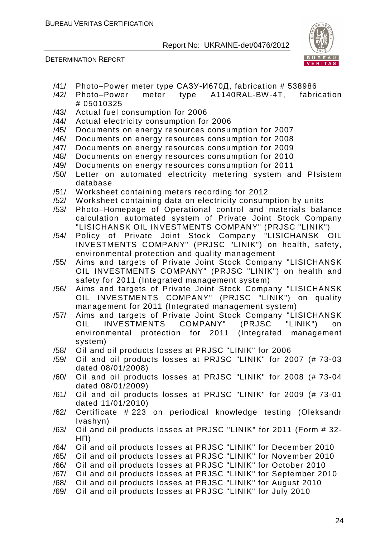

- /41/ Photo–Power meter type САЗУ-И670Д, fabrication # 538986
- /42/ Photo–Power meter type A1140RAL-BW-4T, fabrication # 05010325
- /43/ Actual fuel consumption for 2006
- /44/ Actual electricity consumption for 2006
- /45/ Documents on energy resources consumption for 2007
- /46/ Documents on energy resources consumption for 2008
- /47/ Documents on energy resources consumption for 2009
- /48/ Documents on energy resources consumption for 2010
- /49/ Documents on energy resources consumption for 2011
- /50/ Letter on automated electricity metering system and PIsistem database
- /51/ Worksheet containing meters recording for 2012
- /52/ Worksheet containing data on electricity consumption by units
- /53/ Photo–Homepage of Operational control and materials balance calculation automated system of Private Joint Stock Company "LISICHANSK OIL INVESTMENTS COMPANY" (PRJSC "LINIK")
- /54/ Policy of Private Joint Stock Company "LISICHANSK OIL INVESTMENTS COMPANY" (PRJSC "LINIK") on health, safety, environmental protection and quality management
- /55/ Aims and targets of Private Joint Stock Company "LISICHANSK OIL INVESTMENTS COMPANY" (PRJSC "LINIK") on health and safety for 2011 (Integrated management system)
- /56/ Aims and targets of Private Joint Stock Company "LISICHANSK OIL INVESTMENTS COMPANY" (PRJSC "LINIK") on quality management for 2011 (Integrated management system)
- /57/ Aims and targets of Private Joint Stock Company "LISICHANSK OIL INVESTMENTS COMPANY" (PRJSC "LINIK") on environmental protection for 2011 (Integrated management system)
- /58/ Oil and oil products losses at PRJSC "LINIK" for 2006
- /59/ Oil and oil products losses at PRJSC "LINIK" for 2007 (# 73-03 dated 08/01/2008)
- /60/ Oil and oil products losses at PRJSC "LINIK" for 2008 (# 73-04 dated 08/01/2009)
- /61/ Oil and oil products losses at PRJSC "LINIK" for 2009 (# 73-01 dated 11/01/2010)
- /62/ Certificate # 223 on periodical knowledge testing (Oleksandr Ivashyn)
- /63/ Oil and oil products losses at PRJSC "LINIK" for 2011 (Form # 32-  $H \Pi$
- /64/ Oil and oil products losses at PRJSC "LINIK" for December 2010
- /65/ Oil and oil products losses at PRJSC "LINIK" for November 2010
- /66/ Oil and oil products losses at PRJSC "LINIK" for October 2010
- /67/ Oil and oil products losses at PRJSC "LINIK" for September 2010
- /68/ Oil and oil products losses at PRJSC "LINIK" for August 2010
- /69/ Oil and oil products losses at PRJSC "LINIK" for July 2010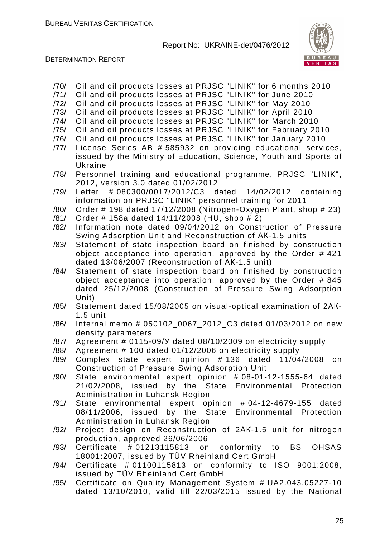

- /70/ Oil and oil products losses at PRJSC "LINIK" for 6 months 2010
- /71/ Oil and oil products losses at PRJSC "LINIK" for June 2010
- /72/ Oil and oil products losses at PRJSC "LINIK" for May 2010
- /73/ Oil and oil products losses at PRJSC "LINIK" for April 2010
- /74/ Oil and oil products losses at PRJSC "LINIK" for March 2010 /75/ Oil and oil products losses at PRJSC "LINIK" for February 2010
- /76/ Oil and oil products losses at PRJSC "LINIK" for January 2010
- /77/ License Series AB # 585932 on providing educational services,
- issued by the Ministry of Education, Science, Youth and Sports of Ukraine
- /78/ Personnel training and educational programme, PRJSC "LINIK", 2012, version 3.0 dated 01/02/2012
- /79/ Letter # 080300/0017/2012/C3 dated 14/02/2012 containing information on PRJSC "LINIK" personnel training for 2011
- /80/ Order # 198 dated 17/12/2008 (Nitrogen-Oxygen Plant, shop # 23)
- /81/ Order # 158a dated 14/11/2008 (HU, shop # 2)
- /82/ Information note dated 09/04/2012 on Construction of Pressure Swing Adsorption Unit and Reconstruction of AK-1.5 units
- /83/ Statement of state inspection board on finished by construction object acceptance into operation, approved by the Order # 421 dated 13/06/2007 (Reconstruction of AK-1.5 unit)
- /84/ Statement of state inspection board on finished by construction object acceptance into operation, approved by the Order # 845 dated 25/12/2008 (Construction of Pressure Swing Adsorption Unit)
- /85/ Statement dated 15/08/2005 on visual-optical examination of 2AK-1.5 unit
- /86/ Internal memo # 050102\_0067\_2012\_C3 dated 01/03/2012 on new density parameters
- $/87/$  Agreement # 0115-09/Y dated 08/10/2009 on electricity supply
- /88/ Agreement # 100 dated 01/12/2006 on electricity supply
- /89/ Complex state expert opinion # 136 dated 11/04/2008 on Construction of Pressure Swing Adsorption Unit
- /90/ State environmental expert opinion # 08-01-12-1555-64 dated 21/02/2008, issued by the State Environmental Protection Administration in Luhansk Region
- /91/ State environmental expert opinion # 04-12-4679-155 dated 08/11/2006, issued by the State Environmental Protection Administration in Luhansk Region
- /92/ Project design on Reconstruction of 2AK-1.5 unit for nitrogen production, approved 26/06/2006
- /93/ Certificate # 01213115813 on conformity to BS OHSAS 18001:2007, issued by TÜV Rheinland Cert GmbH
- /94/ Certificate # 01100115813 on conformity to ISO 9001:2008, issued by TÜV Rheinland Cert GmbH
- /95/ Certificate on Quality Management System # UA2.043.05227-10 dated 13/10/2010, valid till 22/03/2015 issued by the National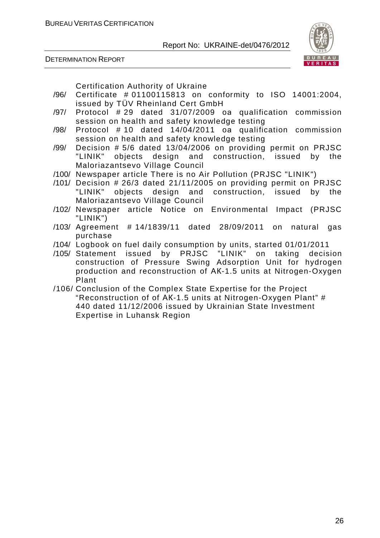



Certification Authority of Ukraine

- /96/ Certificate # 01100115813 on conformity to ISO 14001:2004, issued by TÜV Rheinland Cert GmbH
- $/97/$  Protocol # 29 dated 31/07/2009 oa qualification commission session on health and safety knowledge testing
- $/98/$  Protocol #10 dated 14/04/2011 oa qualification commission session on health and safety knowledge testing
- /99/ Decision # 5/6 dated 13/04/2006 on providing permit on PRJSC "LINIK" objects design and construction, issued by the Maloriazantsevo Village Council
- /100/ Newspaper article There is no Air Pollution (PRJSC "LINIK")
- /101/ Decision # 26/3 dated 21/11/2005 on providing permit on PRJSC "LINIK" objects design and construction, issued by the Maloriazantsevo Village Council
- /102/ Newspaper article Notice on Environmental Impact (PRJSC "LINIK")
- /103/ Agreement # 14/1839/11 dated 28/09/2011 on natural gas purchase
- /104/ Logbook on fuel daily consumption by units, started 01/01/2011
- /105/ Statement issued by PRJSC "LINIK" on taking decision construction of Pressure Swing Adsorption Unit for hydrogen production and reconstruction of AK-1.5 units at Nitrogen-Oxygen Plant
- /106/ Conclusion of the Complex State Expertise for the Project "Reconstruction of of AK-1.5 units at Nitrogen-Oxygen Plant" # 440 dated 11/12/2006 issued by Ukrainian State Investment Expertise in Luhansk Region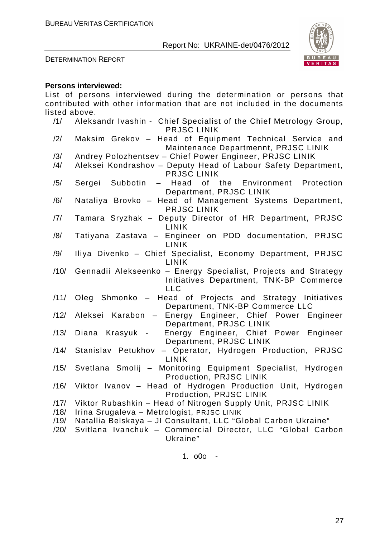

DETERMINATION REPORT

#### **Persons interviewed:**

List of persons interviewed during the determination or persons that contributed with other information that are not included in the documents listed above. /1/ Aleksandr Ivashin - Chief Specialist of the Chief Metrology Group, PRJSC LINIK /2/ Maksim Grekov – Head of Equipment Technical Service and Maintenance Departmennt, PRJSC LINIK /3/ Andrey Polozhentsev – Chief Power Engineer, PRJSC LINIK /4/ Aleksei Kondrashov – Deputy Head of Labour Safety Department, PRJSC LINIK /5/ Sergei Subbotin – Head of the Environment Protection Department, PRJSC LINIK /6/ Nataliya Brovko – Head of Management Systems Department, PRJSC LINIK /7/ Tamara Sryzhak – Deputy Director of HR Department, PRJSC LINIK /8/ Tatiyana Zastava – Engineer on PDD documentation, PRJSC LINIK /9/ Iliya Divenko – Chief Specialist, Economy Department, PRJSC LINIK /10/ Gennadii Alekseenko – Energy Specialist, Projects and Strategy Initiatives Department, TNK-BP Commerce LLC /11/ Oleg Shmonko – Head of Projects and Strategy Initiatives Department, TNK-BP Commerce LLC /12/ Aleksei Karabon – Energy Engineer, Chief Power Engineer Department, PRJSC LINIK /13/ Diana Krasyuk - Energy Engineer, Chief Power Engineer Department, PRJSC LINIK /14/ Stanislav Petukhov – Operator, Hydrogen Production, PRJSC LINIK /15/ Svetlana Smolij – Monitoring Equipment Specialist, Hydrogen Production, PRJSC LINIK /16/ Viktor Ivanov – Head of Hydrogen Production Unit, Hydrogen Production, PRJSC LINIK /17/ Viktor Rubashkin – Head of Nitrogen Supply Unit, PRJSC LINIK /18/ Irina Srugaleva – Metrologist, PRJSC LINIK /19/ Natallia Belskaya – JI Consultant, LLC "Global Carbon Ukraine" /20/ Svitlana Ivanchuk – Commercial Director, LLC "Global Carbon Ukraine" 1. o0o -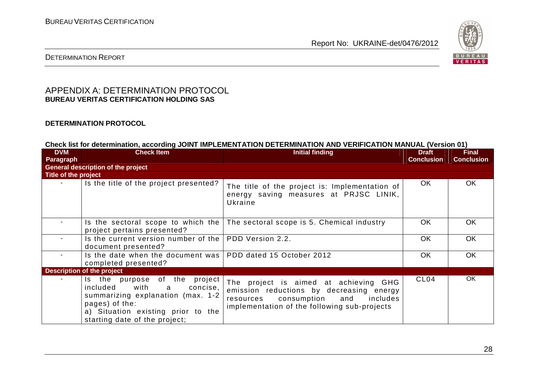

#### DETERMINATION REPORT

#### APPENDIX A: DETERMINATION PROTOCOL **BUREAU VERITAS CERTIFICATION HOLDING SAS**

#### **DETERMINATION PROTOCOL**

**Check list for determination, according JOINT IMPLEMENTATION DETERMINATION AND VERIFICATION MANUAL (Version 01)** 

| <b>DVM</b>           | <b>Check Item</b>                                                                                                                                                                                | <b>Initial finding</b>                                                                                                                                                     | <b>Draft</b>      | <b>Final</b>      |
|----------------------|--------------------------------------------------------------------------------------------------------------------------------------------------------------------------------------------------|----------------------------------------------------------------------------------------------------------------------------------------------------------------------------|-------------------|-------------------|
| Paragraph            |                                                                                                                                                                                                  |                                                                                                                                                                            | <b>Conclusion</b> | <b>Conclusion</b> |
|                      | <b>General description of the project</b>                                                                                                                                                        |                                                                                                                                                                            |                   |                   |
| Title of the project |                                                                                                                                                                                                  |                                                                                                                                                                            |                   |                   |
|                      | Is the title of the project presented?                                                                                                                                                           | The title of the project is: Implementation of<br>energy saving measures at PRJSC LINIK,<br>Ukraine                                                                        | OK.               | OK                |
|                      | project pertains presented?                                                                                                                                                                      | Is the sectoral scope to which the $\vert$ The sectoral scope is 5. Chemical industry                                                                                      | <b>OK</b>         | <b>OK</b>         |
| $\sim$               | Is the current version number of the   PDD Version 2.2.<br>document presented?                                                                                                                   |                                                                                                                                                                            | OK.               | <b>OK</b>         |
|                      | Is the date when the document was   PDD dated 15 October 2012<br>completed presented?                                                                                                            |                                                                                                                                                                            | <b>OK</b>         | <b>OK</b>         |
|                      | <b>Description of the project</b>                                                                                                                                                                |                                                                                                                                                                            |                   |                   |
|                      | Is the purpose of the project<br>included<br>with<br>concise,<br>a<br>summarizing explanation (max. 1-2<br>pages) of the:<br>a) Situation existing prior to the<br>starting date of the project; | The project is aimed at achieving GHG<br>emission reductions by decreasing energy<br>resources consumption and<br>includes<br>implementation of the following sub-projects | CL <sub>04</sub>  | OK.               |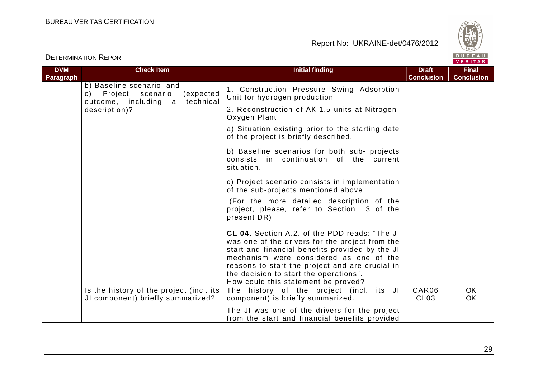

| <b>DETERMINATION REPORT</b> |
|-----------------------------|
|-----------------------------|

| <b>DVM</b> | <b>Check Item</b>                                                                                        | <b>Initial finding</b>                                                                                                                                                                                                                                                                                                                    | <b>Draft</b>      | <b>Final</b>      |
|------------|----------------------------------------------------------------------------------------------------------|-------------------------------------------------------------------------------------------------------------------------------------------------------------------------------------------------------------------------------------------------------------------------------------------------------------------------------------------|-------------------|-------------------|
| Paragraph  |                                                                                                          |                                                                                                                                                                                                                                                                                                                                           | <b>Conclusion</b> | <b>Conclusion</b> |
|            | b) Baseline scenario; and<br>c) Project<br>scenario<br>(expected<br>technical<br>outcome, including<br>a | 1. Construction Pressure Swing Adsorption<br>Unit for hydrogen production                                                                                                                                                                                                                                                                 |                   |                   |
|            | description)?                                                                                            | 2. Reconstruction of AK-1.5 units at Nitrogen-<br>Oxygen Plant                                                                                                                                                                                                                                                                            |                   |                   |
|            |                                                                                                          | a) Situation existing prior to the starting date<br>of the project is briefly described.                                                                                                                                                                                                                                                  |                   |                   |
|            |                                                                                                          | b) Baseline scenarios for both sub- projects<br>consists in continuation of the current<br>situation.                                                                                                                                                                                                                                     |                   |                   |
|            |                                                                                                          | c) Project scenario consists in implementation<br>of the sub-projects mentioned above                                                                                                                                                                                                                                                     |                   |                   |
|            |                                                                                                          | (For the more detailed description of the<br>project, please, refer to Section 3 of the<br>present DR)                                                                                                                                                                                                                                    |                   |                   |
|            |                                                                                                          | <b>CL 04.</b> Section A.2. of the PDD reads: "The JI<br>was one of the drivers for the project from the<br>start and financial benefits provided by the JI<br>mechanism were considered as one of the<br>reasons to start the project and are crucial in<br>the decision to start the operations".<br>How could this statement be proved? |                   |                   |
|            | Is the history of the project (incl. its                                                                 | The history of the project (incl. its JI                                                                                                                                                                                                                                                                                                  | CAR06             | OK.               |
|            | JI component) briefly summarized?                                                                        | component) is briefly summarized.                                                                                                                                                                                                                                                                                                         | CL <sub>03</sub>  | <b>OK</b>         |
|            |                                                                                                          | The JI was one of the drivers for the project<br>from the start and financial benefits provided                                                                                                                                                                                                                                           |                   |                   |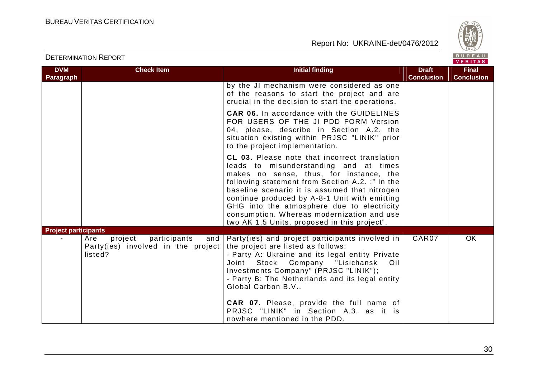



| <b>DVM</b>                  | <b>Check Item</b>                                                                      | <b>Initial finding</b>                                                                                                                                                                                                                                                                                                                                                                                                               | <b>Draft</b>      | <b>Final</b>      |
|-----------------------------|----------------------------------------------------------------------------------------|--------------------------------------------------------------------------------------------------------------------------------------------------------------------------------------------------------------------------------------------------------------------------------------------------------------------------------------------------------------------------------------------------------------------------------------|-------------------|-------------------|
| <b>Paragraph</b>            |                                                                                        | by the JI mechanism were considered as one<br>of the reasons to start the project and are<br>crucial in the decision to start the operations.                                                                                                                                                                                                                                                                                        | <b>Conclusion</b> | <b>Conclusion</b> |
|                             |                                                                                        | <b>CAR 06.</b> In accordance with the GUIDELINES<br>FOR USERS OF THE JI PDD FORM Version<br>04, please, describe in Section A.2. the<br>situation existing within PRJSC "LINIK" prior<br>to the project implementation.                                                                                                                                                                                                              |                   |                   |
|                             |                                                                                        | CL 03. Please note that incorrect translation<br>leads to misunderstanding and at times<br>makes no sense, thus, for instance, the<br>following statement from Section A.2. :" In the<br>baseline scenario it is assumed that nitrogen<br>continue produced by A-8-1 Unit with emitting<br>GHG into the atmosphere due to electricity<br>consumption. Whereas modernization and use<br>two AK 1.5 Units, proposed in this project".  |                   |                   |
| <b>Project participants</b> | participants<br>project<br>Are<br>and<br>Party(ies) involved in the project<br>listed? | Party(ies) and project participants involved in<br>the project are listed as follows:<br>- Party A: Ukraine and its legal entity Private<br>Stock Company "Lisichansk<br>Joint<br>Oil<br>Investments Company" (PRJSC "LINIK");<br>- Party B: The Netherlands and its legal entity<br>Global Carbon B.V<br><b>CAR 07.</b> Please, provide the full name of<br>PRJSC "LINIK" in Section A.3. as it is<br>nowhere mentioned in the PDD. | CAR07             | <b>OK</b>         |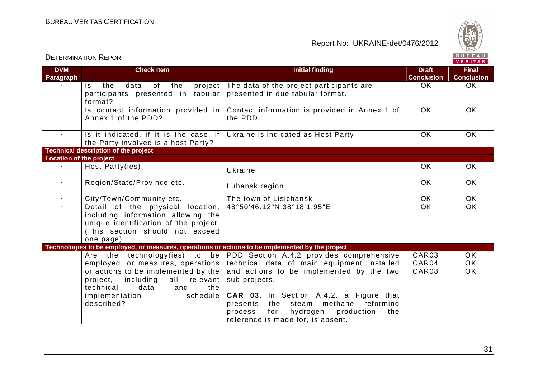

|                                |                                                                                                                                                                                                                             |                                                                                                                                                                                                                                                                                                  |                                   | $V$ . $N$ . $N$ . $N$               |
|--------------------------------|-----------------------------------------------------------------------------------------------------------------------------------------------------------------------------------------------------------------------------|--------------------------------------------------------------------------------------------------------------------------------------------------------------------------------------------------------------------------------------------------------------------------------------------------|-----------------------------------|-------------------------------------|
| <b>DVM</b><br><b>Paragraph</b> | <b>Check Item</b>                                                                                                                                                                                                           | <b>Initial finding</b>                                                                                                                                                                                                                                                                           | <b>Draft</b><br><b>Conclusion</b> | <b>Final</b><br><b>Conclusion</b>   |
|                                | Is the<br>of the<br>project<br>data<br>participants presented in tabular<br>format?                                                                                                                                         | The data of the project participants are<br>presented in due tabular format.                                                                                                                                                                                                                     | OK                                | <b>OK</b>                           |
| $\sim$                         | Is contact information provided in<br>Annex 1 of the PDD?                                                                                                                                                                   | Contact information is provided in Annex 1 of<br>the PDD.                                                                                                                                                                                                                                        | <b>OK</b>                         | <b>OK</b>                           |
| $\sim$ $-$                     | Is it indicated, if it is the case, if<br>the Party involved is a host Party?                                                                                                                                               | Ukraine is indicated as Host Party.                                                                                                                                                                                                                                                              | <b>OK</b>                         | <b>OK</b>                           |
|                                | <b>Technical description of the project</b>                                                                                                                                                                                 |                                                                                                                                                                                                                                                                                                  |                                   |                                     |
| <b>Location of the project</b> |                                                                                                                                                                                                                             |                                                                                                                                                                                                                                                                                                  |                                   |                                     |
| $\sim$                         | Host Party(ies)                                                                                                                                                                                                             | Ukraine                                                                                                                                                                                                                                                                                          | <b>OK</b>                         | <b>OK</b>                           |
| $\sim$                         | Region/State/Province etc.                                                                                                                                                                                                  | Luhansk region                                                                                                                                                                                                                                                                                   | <b>OK</b>                         | <b>OK</b>                           |
| $\sim$                         | City/Town/Community etc.                                                                                                                                                                                                    | The town of Lisichansk                                                                                                                                                                                                                                                                           | OK                                | <b>OK</b>                           |
|                                | Detail of the physical location,<br>including information allowing the<br>unique identification of the project.<br>(This section should not exceed<br>one page)                                                             | 48°50'46.12"N 38°18'1.95"E                                                                                                                                                                                                                                                                       | <b>OK</b>                         | <b>OK</b>                           |
|                                | Technologies to be employed, or measures, operations or actions to be implemented by the project                                                                                                                            |                                                                                                                                                                                                                                                                                                  |                                   |                                     |
|                                | Are the technology(ies) to be<br>employed, or measures, operations<br>or actions to be implemented by the<br>project, including all relevant<br>data<br>the<br>technical<br>and<br>schedule<br>implementation<br>described? | PDD Section A.4.2 provides comprehensive<br>technical data of main equipment installed<br>and actions to be implemented by the two<br>sub-projects.<br><b>CAR 03.</b> In Section A.4.2. a Figure that<br>presents the steam methane reforming<br>hydrogen<br>production<br>process<br>for<br>the | CAR03<br>CAR04<br>CAR08           | <b>OK</b><br><b>OK</b><br><b>OK</b> |
|                                |                                                                                                                                                                                                                             | reference is made for, is absent.                                                                                                                                                                                                                                                                |                                   |                                     |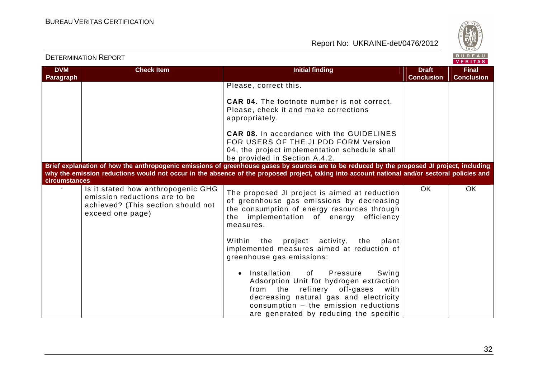

|                                | <b>DETERMINATION REPORT</b>                                                                                                   |                                                                                                                                                                                                                                                                                              |                                   | BUREAU<br>VERITAS                 |
|--------------------------------|-------------------------------------------------------------------------------------------------------------------------------|----------------------------------------------------------------------------------------------------------------------------------------------------------------------------------------------------------------------------------------------------------------------------------------------|-----------------------------------|-----------------------------------|
| <b>DVM</b><br><b>Paragraph</b> | <b>Check Item</b>                                                                                                             | <b>Initial finding</b>                                                                                                                                                                                                                                                                       | <b>Draft</b><br><b>Conclusion</b> | <b>Final</b><br><b>Conclusion</b> |
|                                |                                                                                                                               | Please, correct this.                                                                                                                                                                                                                                                                        |                                   |                                   |
|                                |                                                                                                                               | <b>CAR 04.</b> The footnote number is not correct.<br>Please, check it and make corrections<br>appropriately.                                                                                                                                                                                |                                   |                                   |
|                                |                                                                                                                               | <b>CAR 08.</b> In accordance with the GUIDELINES<br>FOR USERS OF THE JI PDD FORM Version<br>04, the project implementation schedule shall<br>be provided in Section A.4.2.                                                                                                                   |                                   |                                   |
| circumstances                  |                                                                                                                               | Brief explanation of how the anthropogenic emissions of greenhouse gases by sources are to be reduced by the proposed JI project, including<br>why the emission reductions would not occur in the absence of the proposed project, taking into account national and/or sectoral policies and |                                   |                                   |
|                                | Is it stated how anthropogenic GHG<br>emission reductions are to be<br>achieved? (This section should not<br>exceed one page) | The proposed JI project is aimed at reduction<br>of greenhouse gas emissions by decreasing<br>the consumption of energy resources through<br>the implementation of energy efficiency<br>measures.                                                                                            | OK                                | <b>OK</b>                         |
|                                |                                                                                                                               | project activity,<br>the<br>Within the<br>plant<br>implemented measures aimed at reduction of<br>greenhouse gas emissions:                                                                                                                                                                   |                                   |                                   |
|                                |                                                                                                                               | Installation<br>Pressure<br>of<br>Swing<br>$\bullet$<br>Adsorption Unit for hydrogen extraction<br>from the refinery off-gases<br>with<br>decreasing natural gas and electricity<br>consumption - the emission reductions<br>are generated by reducing the specific                          |                                   |                                   |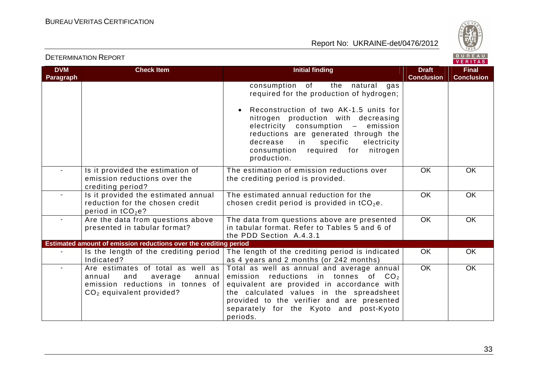

| <b>DVM</b><br><b>Paragraph</b> | <b>Check Item</b>                                                                                                                                   | <b>Initial finding</b>                                                                                                                                                                                                                                                                                                                                                                 | <b>Draft</b><br><b>Conclusion</b> | <b>Final</b><br><b>Conclusion</b> |
|--------------------------------|-----------------------------------------------------------------------------------------------------------------------------------------------------|----------------------------------------------------------------------------------------------------------------------------------------------------------------------------------------------------------------------------------------------------------------------------------------------------------------------------------------------------------------------------------------|-----------------------------------|-----------------------------------|
|                                |                                                                                                                                                     | the<br>consumption of<br>natural<br>gas<br>required for the production of hydrogen;<br>Reconstruction of two AK-1.5 units for<br>$\bullet$<br>nitrogen production with decreasing<br>electricity<br>consumption<br>emission<br>$\equiv$<br>reductions are generated through the<br>decrease<br>in<br>specific<br>electricity<br>required for<br>nitrogen<br>consumption<br>production. |                                   |                                   |
|                                | Is it provided the estimation of<br>emission reductions over the<br>crediting period?                                                               | The estimation of emission reductions over<br>the crediting period is provided.                                                                                                                                                                                                                                                                                                        | <b>OK</b>                         | <b>OK</b>                         |
|                                | Is it provided the estimated annual<br>reduction for the chosen credit<br>period in tCO <sub>2</sub> e?                                             | The estimated annual reduction for the<br>chosen credit period is provided in $tCO2e$ .                                                                                                                                                                                                                                                                                                | <b>OK</b>                         | <b>OK</b>                         |
|                                | Are the data from questions above<br>presented in tabular format?                                                                                   | The data from questions above are presented<br>in tabular format. Refer to Tables 5 and 6 of<br>the PDD Section A.4.3.1                                                                                                                                                                                                                                                                | OK                                | <b>OK</b>                         |
|                                | Estimated amount of emission reductions over the crediting period                                                                                   |                                                                                                                                                                                                                                                                                                                                                                                        |                                   |                                   |
|                                | Is the length of the crediting period<br>Indicated?                                                                                                 | The length of the crediting period is indicated<br>as 4 years and 2 months (or 242 months)                                                                                                                                                                                                                                                                                             | <b>OK</b>                         | <b>OK</b>                         |
| $\sim$                         | Are estimates of total as well as<br>and<br>annual<br>annual<br>average<br>emission reductions in tonnes of<br>CO <sub>2</sub> equivalent provided? | Total as well as annual and average annual<br>reductions in tonnes of<br>emission<br>CO <sub>2</sub><br>equivalent are provided in accordance with<br>the calculated values in the spreadsheet<br>provided to the verifier and are presented<br>separately for the Kyoto and post-Kyoto<br>periods.                                                                                    | $\overline{OK}$                   | <b>OK</b>                         |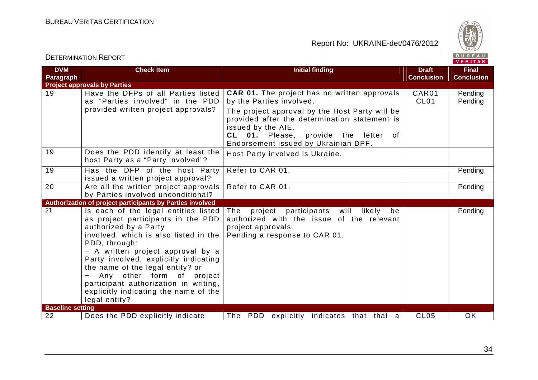



| <b>DVM</b><br><b>Paragraph</b> | <b>Check Item</b>                                                                                                                                                                                                                                                                                                                                                                                               | <b>Initial finding</b>                                                                                                                                 | <b>Draft</b><br><b>Conclusion</b> | <b>Final</b><br><b>Conclusion</b> |
|--------------------------------|-----------------------------------------------------------------------------------------------------------------------------------------------------------------------------------------------------------------------------------------------------------------------------------------------------------------------------------------------------------------------------------------------------------------|--------------------------------------------------------------------------------------------------------------------------------------------------------|-----------------------------------|-----------------------------------|
|                                | <b>Project approvals by Parties</b>                                                                                                                                                                                                                                                                                                                                                                             |                                                                                                                                                        |                                   |                                   |
| 19                             | Have the DFPs of all Parties listed<br>as "Parties involved" in the PDD<br>provided written project approvals?                                                                                                                                                                                                                                                                                                  | <b>CAR 01.</b> The project has no written approvals<br>by the Parties involved.<br>The project approval by the Host Party will be                      | CAR01<br>CL <sub>01</sub>         | Pending<br>Pending                |
|                                |                                                                                                                                                                                                                                                                                                                                                                                                                 | provided after the determination statement is<br>issued by the AIE.<br>CL 01. Please,<br>provide the letter of<br>Endorsement issued by Ukrainian DPF. |                                   |                                   |
| 19                             | Does the PDD identify at least the<br>host Party as a "Party involved"?                                                                                                                                                                                                                                                                                                                                         | Host Party involved is Ukraine.                                                                                                                        |                                   |                                   |
| $\overline{19}$                | Has the DFP of the host Party<br>issued a written project approval?                                                                                                                                                                                                                                                                                                                                             | Refer to CAR 01.                                                                                                                                       |                                   | Pending                           |
| $\overline{20}$                | Are all the written project approvals<br>by Parties involved unconditional?                                                                                                                                                                                                                                                                                                                                     | Refer to CAR 01.                                                                                                                                       |                                   | Pending                           |
|                                | Authorization of project participants by Parties involved                                                                                                                                                                                                                                                                                                                                                       |                                                                                                                                                        |                                   |                                   |
| 21                             | Is each of the legal entities listed<br>as project participants in the PDD<br>authorized by a Party<br>involved, which is also listed in the<br>PDD, through:<br>- A written project approval by a<br>Party involved, explicitly indicating<br>the name of the legal entity? or<br>Any other form of project<br>participant authorization in writing,<br>explicitly indicating the name of the<br>legal entity? | The<br>participants will likely<br>project<br>be<br>authorized with the issue of the relevant<br>project approvals.<br>Pending a response to CAR 01.   |                                   | Pending                           |
| <b>Baseline setting</b>        |                                                                                                                                                                                                                                                                                                                                                                                                                 |                                                                                                                                                        |                                   |                                   |
| 22                             | Does the PDD explicitly indicate                                                                                                                                                                                                                                                                                                                                                                                | The PDD explicitly indicates that that a                                                                                                               | CL <sub>05</sub>                  | <b>OK</b>                         |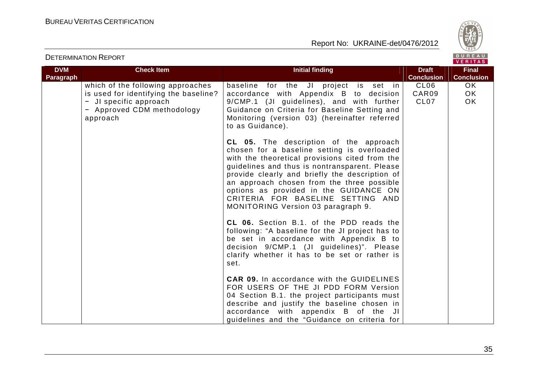



|                                | <b>DETERMINATION REPORT</b>                                                                                                                    |                                                                                                                                                                                                                                                                                                                                                                                                                                                                         |                                               | BUREAU<br>VERITAS                 |
|--------------------------------|------------------------------------------------------------------------------------------------------------------------------------------------|-------------------------------------------------------------------------------------------------------------------------------------------------------------------------------------------------------------------------------------------------------------------------------------------------------------------------------------------------------------------------------------------------------------------------------------------------------------------------|-----------------------------------------------|-----------------------------------|
| <b>DVM</b><br><b>Paragraph</b> | <b>Check Item</b>                                                                                                                              | <b>Initial finding</b>                                                                                                                                                                                                                                                                                                                                                                                                                                                  | <b>Draft</b><br><b>Conclusion</b>             | <b>Final</b><br><b>Conclusion</b> |
|                                | which of the following approaches<br>is used for identifying the baseline?<br>- JI specific approach<br>- Approved CDM methodology<br>approach | baseline for the JI project is set in<br>accordance with Appendix B to decision<br>9/CMP.1 (JI guidelines), and with further<br>Guidance on Criteria for Baseline Setting and<br>Monitoring (version 03) (hereinafter referred<br>to as Guidance).                                                                                                                                                                                                                      | CL <sub>06</sub><br>CAR09<br>CL <sub>07</sub> | <b>OK</b><br><b>OK</b><br>OK.     |
|                                |                                                                                                                                                | <b>CL 05.</b> The description of the approach<br>chosen for a baseline setting is overloaded<br>with the theoretical provisions cited from the<br>guidelines and thus is nontransparent. Please<br>provide clearly and briefly the description of<br>an approach chosen from the three possible<br>options as provided in the GUIDANCE ON<br>CRITERIA FOR BASELINE SETTING AND<br><b>MONITORING Version 03 paragraph 9.</b><br>CL 06. Section B.1. of the PDD reads the |                                               |                                   |
|                                |                                                                                                                                                | following: "A baseline for the JI project has to<br>be set in accordance with Appendix B to<br>decision 9/CMP.1 (JI guidelines)". Please<br>clarify whether it has to be set or rather is<br>set.                                                                                                                                                                                                                                                                       |                                               |                                   |
|                                |                                                                                                                                                | <b>CAR 09.</b> In accordance with the GUIDELINES<br>FOR USERS OF THE JI PDD FORM Version<br>04 Section B.1. the project participants must<br>describe and justify the baseline chosen in<br>accordance with appendix B of the JI<br>guidelines and the "Guidance on criteria for                                                                                                                                                                                        |                                               |                                   |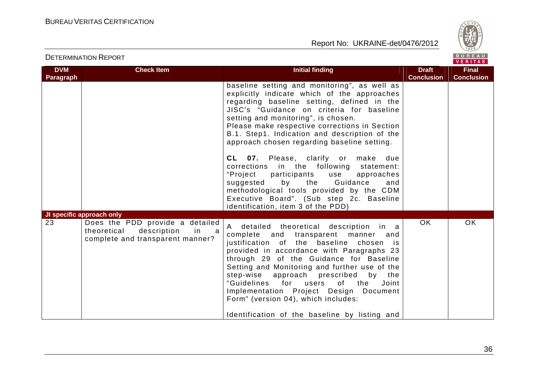



| <b>DVM</b> | <b>Check Item</b>                                                                                            | <b>Initial finding</b>                                                                                                                                                                                                                                                                                                                                                                                                                                                                                                                                                                                                                                                             | <b>Draft</b>      | <b>Final</b>      |
|------------|--------------------------------------------------------------------------------------------------------------|------------------------------------------------------------------------------------------------------------------------------------------------------------------------------------------------------------------------------------------------------------------------------------------------------------------------------------------------------------------------------------------------------------------------------------------------------------------------------------------------------------------------------------------------------------------------------------------------------------------------------------------------------------------------------------|-------------------|-------------------|
| Paragraph  | JI specific approach only                                                                                    | baseline setting and monitoring", as well as<br>explicitly indicate which of the approaches<br>regarding baseline setting, defined in the<br>JISC's "Guidance on criteria for baseline<br>setting and monitoring", is chosen.<br>Please make respective corrections in Section<br>B.1. Step1. Indication and description of the<br>approach chosen regarding baseline setting.<br>CL 07. Please, clarify or make due<br>corrections in the following statement:<br>"Project<br>participants<br>use<br>approaches<br>suggested by the Guidance<br>and<br>methodological tools provided by the CDM<br>Executive Board". (Sub step 2c. Baseline<br>identification, item 3 of the PDD) | <b>Conclusion</b> | <b>Conclusion</b> |
| 23         | Does the PDD provide a detailed<br>in<br>theoretical<br>description<br>a<br>complete and transparent manner? | A detailed theoretical description in a<br>complete and transparent manner<br>and<br>justification of the baseline chosen is<br>provided in accordance with Paragraphs 23<br>through 29 of the Guidance for Baseline<br>Setting and Monitoring and further use of the<br>step-wise approach<br>prescribed<br>bv<br>the<br>"Guidelines<br>for users<br>of the<br>Joint<br>Implementation Project Design Document<br>Form" (version 04), which includes:<br>Identification of the baseline by listing and                                                                                                                                                                            | <b>OK</b>         | <b>OK</b>         |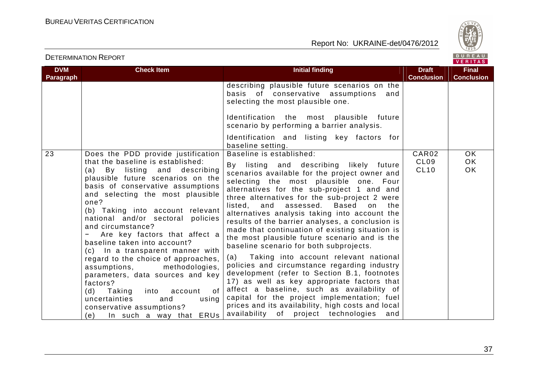

| <b>DETERMINATION REPORT</b> |
|-----------------------------|
|-----------------------------|

| <b>DVM</b>       | <b>Check Item</b>                                                                                                                                                                                                                                                                                                                                                                                                                                                                                                                                                                                                                                                                             | <b>Initial finding</b>                                                                                                                                                                                                                                                                                                                                                                                                                                                                                                                                                                                                                                                                                                                                                                                                                                                                                                                                                      | <b>Draft</b>                             | <b>Final</b>           |
|------------------|-----------------------------------------------------------------------------------------------------------------------------------------------------------------------------------------------------------------------------------------------------------------------------------------------------------------------------------------------------------------------------------------------------------------------------------------------------------------------------------------------------------------------------------------------------------------------------------------------------------------------------------------------------------------------------------------------|-----------------------------------------------------------------------------------------------------------------------------------------------------------------------------------------------------------------------------------------------------------------------------------------------------------------------------------------------------------------------------------------------------------------------------------------------------------------------------------------------------------------------------------------------------------------------------------------------------------------------------------------------------------------------------------------------------------------------------------------------------------------------------------------------------------------------------------------------------------------------------------------------------------------------------------------------------------------------------|------------------------------------------|------------------------|
| <b>Paragraph</b> |                                                                                                                                                                                                                                                                                                                                                                                                                                                                                                                                                                                                                                                                                               |                                                                                                                                                                                                                                                                                                                                                                                                                                                                                                                                                                                                                                                                                                                                                                                                                                                                                                                                                                             | <b>Conclusion</b>                        | <b>Conclusion</b>      |
|                  |                                                                                                                                                                                                                                                                                                                                                                                                                                                                                                                                                                                                                                                                                               | describing plausible future scenarios on the<br>basis of conservative assumptions<br>and<br>selecting the most plausible one.<br>Identification the most plausible future<br>scenario by performing a barrier analysis.<br>Identification and listing key factors for<br>baseline setting.                                                                                                                                                                                                                                                                                                                                                                                                                                                                                                                                                                                                                                                                                  |                                          |                        |
| 23               | Does the PDD provide justification<br>that the baseline is established:<br>(a) By listing and describing<br>plausible future scenarios on the<br>basis of conservative assumptions<br>and selecting the most plausible<br>one?<br>(b) Taking into account relevant<br>national and/or sectoral policies<br>and circumstance?<br>Are key factors that affect a<br>baseline taken into account?<br>(c) In a transparent manner with<br>regard to the choice of approaches,<br>methodologies,<br>assumptions,<br>parameters, data sources and key<br>factors?<br>Taking<br>into<br>0f<br>(d)<br>account<br>uncertainties<br>using<br>and<br>conservative assumptions?<br>In such a way that ERUs | Baseline is established:<br>By listing and describing likely future<br>scenarios available for the project owner and<br>selecting the most plausible one. Four<br>alternatives for the sub-project 1 and and<br>three alternatives for the sub-project 2 were<br><b>Based</b><br>listed, and<br>assessed.<br>on<br>the<br>alternatives analysis taking into account the<br>results of the barrier analyses, a conclusion is<br>made that continuation of existing situation is<br>the most plausible future scenario and is the<br>baseline scenario for both subprojects.<br>Taking into account relevant national<br>(a)<br>policies and circumstance regarding industry<br>development (refer to Section B.1, footnotes<br>17) as well as key appropriate factors that<br>affect a baseline, such as availability of<br>capital for the project implementation; fuel<br>prices and its availability, high costs and local<br>availability of project technologies<br>and | CAR02<br>CL <sub>09</sub><br><b>CL10</b> | OK.<br><b>OK</b><br>OK |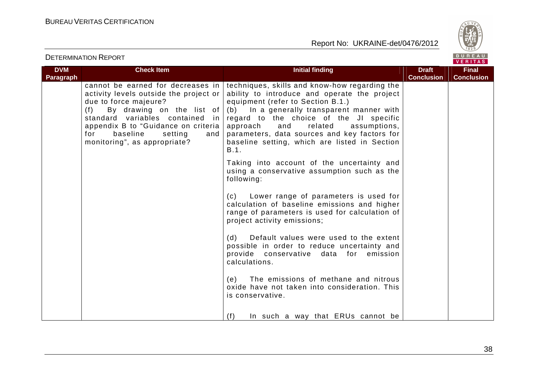



|                                |                                                                                                                                                                                                                                                        |                                                                                                                                                                                                                                                                                                                                                                                                                      |                                   | 1.111172                          |
|--------------------------------|--------------------------------------------------------------------------------------------------------------------------------------------------------------------------------------------------------------------------------------------------------|----------------------------------------------------------------------------------------------------------------------------------------------------------------------------------------------------------------------------------------------------------------------------------------------------------------------------------------------------------------------------------------------------------------------|-----------------------------------|-----------------------------------|
| <b>DVM</b><br><b>Paragraph</b> | <b>Check Item</b>                                                                                                                                                                                                                                      | <b>Initial finding</b>                                                                                                                                                                                                                                                                                                                                                                                               | <b>Draft</b><br><b>Conclusion</b> | <b>Final</b><br><b>Conclusion</b> |
|                                | activity levels outside the project or<br>due to force majeure?<br>(f) By drawing on the list of<br>standard variables contained<br>in I<br>appendix B to "Guidance on criteria  <br>for<br>baseline<br>setting<br>and<br>monitoring", as appropriate? | cannot be earned for decreases in techniques, skills and know-how regarding the<br>ability to introduce and operate the project<br>equipment (refer to Section B.1.)<br>(b) In a generally transparent manner with<br>regard to the choice of the JI specific<br>approach<br>related<br>assumptions,<br>and<br>parameters, data sources and key factors for<br>baseline setting, which are listed in Section<br>B.1. |                                   |                                   |
|                                |                                                                                                                                                                                                                                                        | Taking into account of the uncertainty and<br>using a conservative assumption such as the<br>following:                                                                                                                                                                                                                                                                                                              |                                   |                                   |
|                                |                                                                                                                                                                                                                                                        | (c) Lower range of parameters is used for<br>calculation of baseline emissions and higher<br>range of parameters is used for calculation of<br>project activity emissions;                                                                                                                                                                                                                                           |                                   |                                   |
|                                |                                                                                                                                                                                                                                                        | Default values were used to the extent<br>(d)<br>possible in order to reduce uncertainty and<br>provide conservative data for emission<br>calculations.                                                                                                                                                                                                                                                              |                                   |                                   |
|                                |                                                                                                                                                                                                                                                        | (e) The emissions of methane and nitrous<br>oxide have not taken into consideration. This<br>is conservative.                                                                                                                                                                                                                                                                                                        |                                   |                                   |
|                                |                                                                                                                                                                                                                                                        | In such a way that ERUs cannot be<br>(f)                                                                                                                                                                                                                                                                                                                                                                             |                                   |                                   |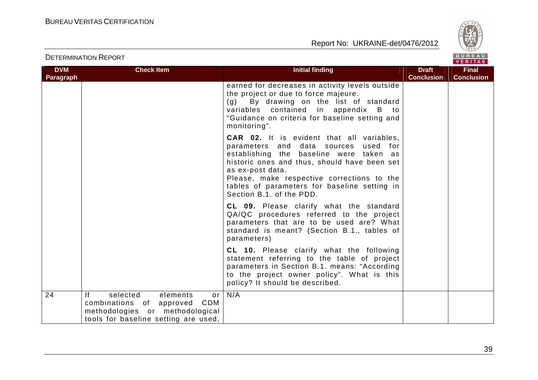



| <b>DVM</b> | <b>Check Item</b>                                                                                                                               | <b>Initial finding</b>                                                                                                                                                                                                                                                                                                            | <b>Draft</b>      | <b>Final</b>      |
|------------|-------------------------------------------------------------------------------------------------------------------------------------------------|-----------------------------------------------------------------------------------------------------------------------------------------------------------------------------------------------------------------------------------------------------------------------------------------------------------------------------------|-------------------|-------------------|
| Paragraph  |                                                                                                                                                 |                                                                                                                                                                                                                                                                                                                                   | <b>Conclusion</b> | <b>Conclusion</b> |
|            |                                                                                                                                                 | earned for decreases in activity levels outside<br>the project or due to force majeure.<br>By drawing on the list of standard<br>(g)<br>variables contained in appendix B to<br>"Guidance on criteria for baseline setting and<br>monitoring".                                                                                    |                   |                   |
|            |                                                                                                                                                 | <b>CAR 02.</b> It is evident that all variables,<br>parameters and data sources used for<br>establishing the baseline were taken as<br>historic ones and thus, should have been set<br>as ex-post data.<br>Please, make respective corrections to the<br>tables of parameters for baseline setting in<br>Section B.1, of the PDD. |                   |                   |
|            |                                                                                                                                                 | CL 09. Please clarify what the standard<br>QA/QC procedures referred to the project<br>parameters that are to be used are? What<br>standard is meant? (Section B.1., tables of<br>parameters)                                                                                                                                     |                   |                   |
|            |                                                                                                                                                 | CL 10. Please clarify what the following<br>statement referring to the table of project<br>parameters in Section B.1. means: "According<br>to the project owner policy". What is this<br>policy? It should be described.                                                                                                          |                   |                   |
| 24         | selected<br>elements<br> f <br>or<br>combinations of approved<br>CDM<br>methodologies or methodological<br>tools for baseline setting are used, | N/A                                                                                                                                                                                                                                                                                                                               |                   |                   |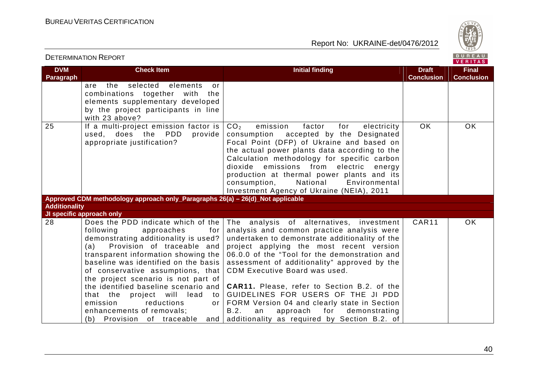



| <b>DVM</b>           | <b>Check Item</b>                                                                                                                                                                                                                                                                                                                                                                                                                     | <b>Initial finding</b>                                                                                                                                                                                                                                                                                                                                                                                                                                                                                                                                                                                                                 | <b>Draft</b>      | <b>Final</b>      |
|----------------------|---------------------------------------------------------------------------------------------------------------------------------------------------------------------------------------------------------------------------------------------------------------------------------------------------------------------------------------------------------------------------------------------------------------------------------------|----------------------------------------------------------------------------------------------------------------------------------------------------------------------------------------------------------------------------------------------------------------------------------------------------------------------------------------------------------------------------------------------------------------------------------------------------------------------------------------------------------------------------------------------------------------------------------------------------------------------------------------|-------------------|-------------------|
| <b>Paragraph</b>     |                                                                                                                                                                                                                                                                                                                                                                                                                                       |                                                                                                                                                                                                                                                                                                                                                                                                                                                                                                                                                                                                                                        | <b>Conclusion</b> | <b>Conclusion</b> |
|                      | the selected elements<br>are<br>or                                                                                                                                                                                                                                                                                                                                                                                                    |                                                                                                                                                                                                                                                                                                                                                                                                                                                                                                                                                                                                                                        |                   |                   |
|                      | combinations together<br>with the                                                                                                                                                                                                                                                                                                                                                                                                     |                                                                                                                                                                                                                                                                                                                                                                                                                                                                                                                                                                                                                                        |                   |                   |
|                      | elements supplementary developed                                                                                                                                                                                                                                                                                                                                                                                                      |                                                                                                                                                                                                                                                                                                                                                                                                                                                                                                                                                                                                                                        |                   |                   |
|                      | by the project participants in line                                                                                                                                                                                                                                                                                                                                                                                                   |                                                                                                                                                                                                                                                                                                                                                                                                                                                                                                                                                                                                                                        |                   |                   |
|                      | with 23 above?                                                                                                                                                                                                                                                                                                                                                                                                                        |                                                                                                                                                                                                                                                                                                                                                                                                                                                                                                                                                                                                                                        |                   |                   |
| 25                   | If a multi-project emission factor is<br>used, does the PDD<br>provide<br>appropriate justification?                                                                                                                                                                                                                                                                                                                                  | CO <sub>2</sub><br>emission<br>factor<br>for<br>electricity<br>consumption accepted by the Designated<br>Focal Point (DFP) of Ukraine and based on<br>the actual power plants data according to the<br>Calculation methodology for specific carbon<br>dioxide emissions from electric<br>energy<br>production at thermal power plants and its<br>consumption,<br>National<br>Environmental<br>Investment Agency of Ukraine (NEIA), 2011                                                                                                                                                                                                | <b>OK</b>         | <b>OK</b>         |
|                      | Approved CDM methodology approach only_Paragraphs 26(a) - 26(d)_Not applicable                                                                                                                                                                                                                                                                                                                                                        |                                                                                                                                                                                                                                                                                                                                                                                                                                                                                                                                                                                                                                        |                   |                   |
| <b>Additionality</b> |                                                                                                                                                                                                                                                                                                                                                                                                                                       |                                                                                                                                                                                                                                                                                                                                                                                                                                                                                                                                                                                                                                        |                   |                   |
|                      | JI specific approach only                                                                                                                                                                                                                                                                                                                                                                                                             |                                                                                                                                                                                                                                                                                                                                                                                                                                                                                                                                                                                                                                        |                   |                   |
| 28                   | following<br>approaches<br>for I<br>demonstrating additionality is used?  <br>Provision of traceable and<br>(a)<br>transparent information showing the<br>baseline was identified on the basis<br>of conservative assumptions, that<br>the project scenario is not part of<br>the identified baseline scenario and<br>that the<br>project will lead<br>to I<br>emission<br>reductions<br>or <sub>1</sub><br>enhancements of removals; | Does the PDD indicate which of the The analysis of alternatives, investment<br>analysis and common practice analysis were<br>undertaken to demonstrate additionality of the<br>project applying the most recent version<br>06.0.0 of the "Tool for the demonstration and<br>assessment of additionality" approved by the<br>CDM Executive Board was used.<br><b>CAR11.</b> Please, refer to Section B.2. of the<br>GUIDELINES FOR USERS OF THE JI PDD<br>FORM Version 04 and clearly state in Section<br>for<br>B.2.<br>approach<br>demonstrating<br>an<br>(b) Provision of traceable and additionality as required by Section B.2. of | CAR11             | <b>OK</b>         |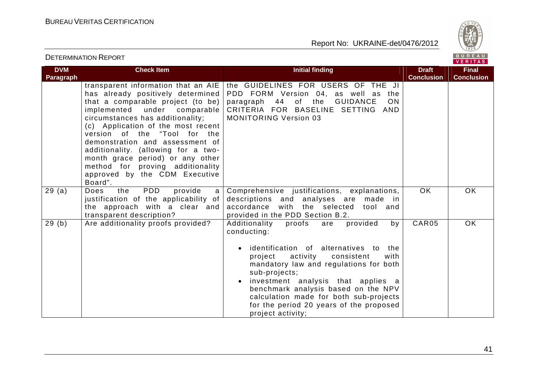

| <b>DVM</b> | <b>Check Item</b>                                                                                                                                                                                                                                                                                                                                                                                                                                     | <b>Initial finding</b>                                                                                                                                                                                                                                                                                                                                                                                     | <b>Draft</b>      | <b>Final</b>      |
|------------|-------------------------------------------------------------------------------------------------------------------------------------------------------------------------------------------------------------------------------------------------------------------------------------------------------------------------------------------------------------------------------------------------------------------------------------------------------|------------------------------------------------------------------------------------------------------------------------------------------------------------------------------------------------------------------------------------------------------------------------------------------------------------------------------------------------------------------------------------------------------------|-------------------|-------------------|
| Paragraph  |                                                                                                                                                                                                                                                                                                                                                                                                                                                       |                                                                                                                                                                                                                                                                                                                                                                                                            | <b>Conclusion</b> | <b>Conclusion</b> |
|            | transparent information that an AIE<br>has already positively determined<br>that a comparable project (to be)<br>implemented under comparable<br>circumstances has additionality;<br>(c) Application of the most recent<br>version of the "Tool for the<br>demonstration and assessment of<br>additionality. (allowing for a two-<br>month grace period) or any other<br>method for proving additionality<br>approved by the CDM Executive<br>Board". | the GUIDELINES FOR USERS OF THE JI<br>PDD FORM Version 04, as well as the<br>paragraph 44 of the GUIDANCE<br><b>ON</b><br>CRITERIA FOR BASELINE SETTING AND<br><b>MONITORING Version 03</b>                                                                                                                                                                                                                |                   |                   |
| 29(a)      | PDD<br>the<br>provide<br>Does<br>a<br>justification of the applicability of<br>the approach with a clear and<br>transparent description?                                                                                                                                                                                                                                                                                                              | Comprehensive justifications, explanations,<br>descriptions and analyses are made in<br>accordance with the selected<br>tool and<br>provided in the PDD Section B.2.                                                                                                                                                                                                                                       | OK.               | <b>OK</b>         |
| 29(b)      | Are additionality proofs provided?                                                                                                                                                                                                                                                                                                                                                                                                                    | provided<br>Additionality<br>proofs<br>by<br>are<br>conducting:<br>identification of alternatives to<br>the<br>activity<br>consistent<br>with<br>project<br>mandatory law and regulations for both<br>sub-projects;<br>investment analysis that applies a<br>benchmark analysis based on the NPV<br>calculation made for both sub-projects<br>for the period 20 years of the proposed<br>project activity; | CAR05             | <b>OK</b>         |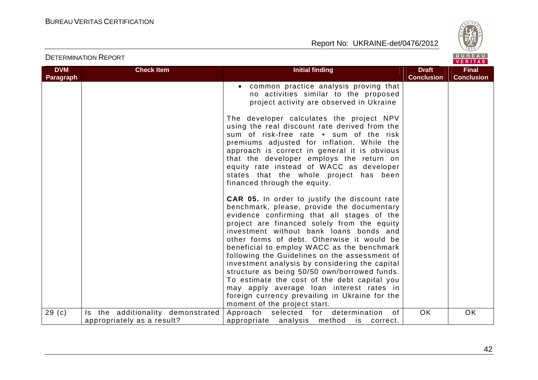



| <b>DVM</b> | <b>Check Item</b>                                               | <b>Initial finding</b>                                                                                                                                                                                                                                                                                                                                                                                                                                                                                                                                                                                                                                                  | <b>Draft</b>      | <b>Final</b>      |
|------------|-----------------------------------------------------------------|-------------------------------------------------------------------------------------------------------------------------------------------------------------------------------------------------------------------------------------------------------------------------------------------------------------------------------------------------------------------------------------------------------------------------------------------------------------------------------------------------------------------------------------------------------------------------------------------------------------------------------------------------------------------------|-------------------|-------------------|
| Paragraph  |                                                                 |                                                                                                                                                                                                                                                                                                                                                                                                                                                                                                                                                                                                                                                                         | <b>Conclusion</b> | <b>Conclusion</b> |
|            |                                                                 | common practice analysis proving that<br>no activities similar to the proposed<br>project activity are observed in Ukraine                                                                                                                                                                                                                                                                                                                                                                                                                                                                                                                                              |                   |                   |
|            |                                                                 | The developer calculates the project NPV<br>using the real discount rate derived from the<br>sum of risk-free rate + sum of the risk<br>premiums adjusted for inflation. While the<br>approach is correct in general it is obvious<br>that the developer employs the return on<br>equity rate instead of WACC as developer<br>states that the whole project has been<br>financed through the equity.                                                                                                                                                                                                                                                                    |                   |                   |
|            |                                                                 | <b>CAR 05.</b> In order to justify the discount rate<br>benchmark, please, provide the documentary<br>evidence confirming that all stages of the<br>project are financed solely from the equity<br>investment without bank loans bonds and<br>other forms of debt. Otherwise it would be<br>beneficial to employ WACC as the benchmark<br>following the Guidelines on the assessment of<br>investment analysis by considering the capital<br>structure as being 50/50 own/borrowed funds.<br>To estimate the cost of the debt capital you<br>may apply average loan interest rates in<br>foreign currency prevailing in Ukraine for the<br>moment of the project start. |                   |                   |
| 29(c)      | Is the additionality demonstrated<br>appropriately as a result? | Approach selected for determination<br>of<br>appropriate analysis method is correct.                                                                                                                                                                                                                                                                                                                                                                                                                                                                                                                                                                                    | <b>OK</b>         | <b>OK</b>         |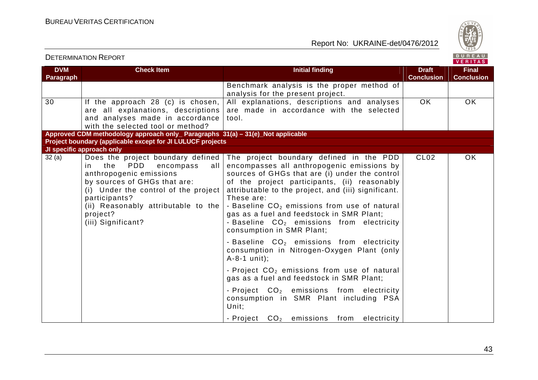



|                                |                                                                                                                                                                                                                                   |                                                                                                                                                                                                                                                                                                                                                                                                                                                                                       |                                   | $\mathbf{v}$ . The state $\mathbf{v}$ |
|--------------------------------|-----------------------------------------------------------------------------------------------------------------------------------------------------------------------------------------------------------------------------------|---------------------------------------------------------------------------------------------------------------------------------------------------------------------------------------------------------------------------------------------------------------------------------------------------------------------------------------------------------------------------------------------------------------------------------------------------------------------------------------|-----------------------------------|---------------------------------------|
| <b>DVM</b><br><b>Paragraph</b> | <b>Check Item</b>                                                                                                                                                                                                                 | <b>Initial finding</b>                                                                                                                                                                                                                                                                                                                                                                                                                                                                | <b>Draft</b><br><b>Conclusion</b> | <b>Final</b><br><b>Conclusion</b>     |
|                                |                                                                                                                                                                                                                                   | Benchmark analysis is the proper method of<br>analysis for the present project.                                                                                                                                                                                                                                                                                                                                                                                                       |                                   |                                       |
| 30                             | If the approach 28 (c) is chosen,<br>are all explanations, descriptions<br>and analyses made in accordance<br>with the selected tool or method?                                                                                   | All explanations, descriptions and analyses<br>are made in accordance with the selected<br>tool.                                                                                                                                                                                                                                                                                                                                                                                      | <b>OK</b>                         | <b>OK</b>                             |
|                                | Approved CDM methodology approach only_ Paragraphs 31(a) - 31(e)_Not applicable                                                                                                                                                   |                                                                                                                                                                                                                                                                                                                                                                                                                                                                                       |                                   |                                       |
|                                | Project boundary (applicable except for JI LULUCF projects                                                                                                                                                                        |                                                                                                                                                                                                                                                                                                                                                                                                                                                                                       |                                   |                                       |
|                                | JI specific approach only                                                                                                                                                                                                         |                                                                                                                                                                                                                                                                                                                                                                                                                                                                                       |                                   |                                       |
| 32(a)                          | the<br>PDD<br>in<br>encompass<br>all<br>anthropogenic emissions<br>by sources of GHGs that are:<br>(i) Under the control of the project<br>participants?<br>(ii) Reasonably attributable to the<br>project?<br>(iii) Significant? | Does the project boundary defined   The project boundary defined in the PDD<br>encompasses all anthropogenic emissions by<br>sources of GHGs that are (i) under the control<br>of the project participants, (ii) reasonably<br>attributable to the project, and (iii) significant.<br>These are:<br>- Baseline $CO2$ emissions from use of natural<br>gas as a fuel and feedstock in SMR Plant;<br>- Baseline CO <sub>2</sub> emissions from electricity<br>consumption in SMR Plant; | CL <sub>02</sub>                  | <b>OK</b>                             |
|                                |                                                                                                                                                                                                                                   | - Baseline $CO2$ emissions from electricity<br>consumption in Nitrogen-Oxygen Plant (only<br>$A-8-1$ unit);                                                                                                                                                                                                                                                                                                                                                                           |                                   |                                       |
|                                |                                                                                                                                                                                                                                   | - Project $CO2$ emissions from use of natural<br>gas as a fuel and feedstock in SMR Plant;                                                                                                                                                                                                                                                                                                                                                                                            |                                   |                                       |
|                                |                                                                                                                                                                                                                                   | - Project CO <sub>2</sub> emissions from electricity<br>consumption in SMR Plant including PSA<br>Unit:                                                                                                                                                                                                                                                                                                                                                                               |                                   |                                       |
|                                |                                                                                                                                                                                                                                   | - Project $CO2$ emissions from electricity                                                                                                                                                                                                                                                                                                                                                                                                                                            |                                   |                                       |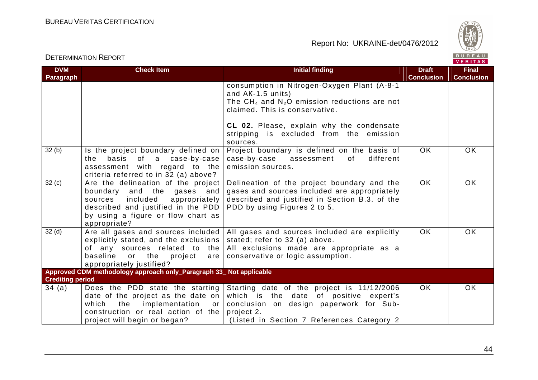

| <b>DVM</b>                       | <b>Check Item</b>                                                                                                                                                                                       | <b>Initial finding</b>                                                                                                                                                                      | <b>Draft</b>      | <b>Final</b>      |
|----------------------------------|---------------------------------------------------------------------------------------------------------------------------------------------------------------------------------------------------------|---------------------------------------------------------------------------------------------------------------------------------------------------------------------------------------------|-------------------|-------------------|
| <b>Paragraph</b>                 |                                                                                                                                                                                                         |                                                                                                                                                                                             | <b>Conclusion</b> | <b>Conclusion</b> |
|                                  |                                                                                                                                                                                                         | consumption in Nitrogen-Oxygen Plant (A-8-1<br>and AK-1.5 units)<br>The CH <sub>4</sub> and $N_2O$ emission reductions are not<br>claimed. This is conservative.                            |                   |                   |
|                                  |                                                                                                                                                                                                         | CL 02. Please, explain why the condensate<br>stripping is excluded from the emission<br>sources.                                                                                            |                   |                   |
| 32(b)                            | Is the project boundary defined on<br>the basis of a case-by-case<br>assessment with regard to the<br>criteria referred to in 32 (a) above?                                                             | Project boundary is defined on the basis of<br>different<br>case-by-case assessment<br>of<br>emission sources.                                                                              | OK.               | OK.               |
| 32(c)                            | Are the delineation of the project<br>boundary<br>and the gases and<br>included<br>appropriately<br>sources<br>described and justified in the PDD<br>by using a figure or flow chart as<br>appropriate? | Delineation of the project boundary and the<br>gases and sources included are appropriately<br>described and justified in Section B.3. of the<br>PDD by using Figures 2 to 5.               | <b>OK</b>         | <b>OK</b>         |
| 32 <sub>(d)</sub>                | Are all gases and sources included<br>explicitly stated, and the exclusions<br>of any sources related to the<br>baseline<br>or the project<br>are<br>appropriately justified?                           | All gases and sources included are explicitly<br>stated; refer to 32 (a) above.<br>All exclusions made are appropriate as a<br>conservative or logic assumption.                            | OK.               | OK.               |
|                                  | Approved CDM methodology approach only_Paragraph 33_ Not applicable                                                                                                                                     |                                                                                                                                                                                             |                   |                   |
| <b>Crediting period</b><br>34(a) | Does the PDD state the starting<br>date of the project as the date on<br>the<br>which<br>implementation or<br>construction or real action of the<br>project will begin or began?                        | Starting date of the project is 11/12/2006<br>which is the date of positive expert's<br>conclusion on design paperwork for Sub-<br>project 2.<br>(Listed in Section 7 References Category 2 | OK.               | OK.               |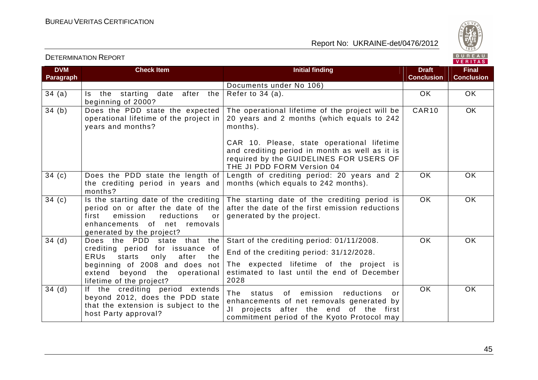

| <b>DVM</b><br>Paragraph | <b>Check Item</b>                                                                                                                                                                                                  | <b>Initial finding</b>                                                                                                                                                                                                                                                             | <b>Draft</b><br><b>Conclusion</b> | <b>Final</b><br><b>Conclusion</b> |
|-------------------------|--------------------------------------------------------------------------------------------------------------------------------------------------------------------------------------------------------------------|------------------------------------------------------------------------------------------------------------------------------------------------------------------------------------------------------------------------------------------------------------------------------------|-----------------------------------|-----------------------------------|
|                         |                                                                                                                                                                                                                    | Documents under No 106)                                                                                                                                                                                                                                                            |                                   |                                   |
| 34(a)                   | after the<br>Is the starting<br>date<br>beginning of 2000?                                                                                                                                                         | Refer to $34$ (a).                                                                                                                                                                                                                                                                 | <b>OK</b>                         | OK.                               |
| 34(b)                   | Does the PDD state the expected<br>operational lifetime of the project in<br>years and months?                                                                                                                     | The operational lifetime of the project will be<br>20 years and 2 months (which equals to 242<br>months).<br>CAR 10. Please, state operational lifetime<br>and crediting period in month as well as it is<br>required by the GUIDELINES FOR USERS OF<br>THE JI PDD FORM Version 04 | CAR10                             | OK.                               |
| 34 <sub>(c)</sub>       | Does the PDD state the length of<br>the crediting period in years and<br>months?                                                                                                                                   | Length of crediting period: 20 years and 2<br>months (which equals to 242 months).                                                                                                                                                                                                 | <b>OK</b>                         | <b>OK</b>                         |
| 34 <sub>(c)</sub>       | Is the starting date of the crediting<br>period on or after the date of the<br>emission<br>reductions<br>first<br>or<br>enhancements of net removals<br>generated by the project?                                  | The starting date of the crediting period is<br>after the date of the first emission reductions<br>generated by the project.                                                                                                                                                       | <b>OK</b>                         | <b>OK</b>                         |
| $34$ (d)                | Does the PDD state<br>that the<br>crediting period for issuance of<br><b>ERUS</b><br>starts<br>only<br>after<br>the<br>beginning of 2008 and does not<br>extend beyond the operational<br>lifetime of the project? | Start of the crediting period: 01/11/2008.<br>End of the crediting period: 31/12/2028.<br>The expected lifetime of the project is<br>estimated to last until the end of December<br>2028                                                                                           | <b>OK</b>                         | OK.                               |
| 34(d)                   | If the crediting period extends<br>beyond 2012, does the PDD state<br>that the extension is subject to the<br>host Party approval?                                                                                 | The status of emission reductions<br>or<br>enhancements of net removals generated by<br>projects after the end of the first<br>JI<br>commitment period of the Kyoto Protocol may                                                                                                   | <b>OK</b>                         | <b>OK</b>                         |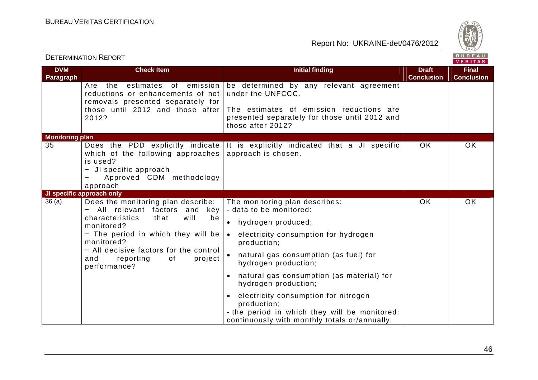

| <b>DVM</b>             | <b>Check Item</b>                                                                                                                                                                                                                                                               | <b>Initial finding</b>                                                                                                                                                                                                                                                                                                                                                                                                                                          | <b>Draft</b>      | <b>Final</b>      |
|------------------------|---------------------------------------------------------------------------------------------------------------------------------------------------------------------------------------------------------------------------------------------------------------------------------|-----------------------------------------------------------------------------------------------------------------------------------------------------------------------------------------------------------------------------------------------------------------------------------------------------------------------------------------------------------------------------------------------------------------------------------------------------------------|-------------------|-------------------|
| Paragraph              |                                                                                                                                                                                                                                                                                 |                                                                                                                                                                                                                                                                                                                                                                                                                                                                 | <b>Conclusion</b> | <b>Conclusion</b> |
|                        | estimates of emission<br>the<br>Are<br>reductions or enhancements of net<br>removals presented separately for<br>those until 2012 and those after<br>2012?                                                                                                                      | be determined by any relevant agreement<br>under the UNFCCC.<br>The estimates of emission reductions are<br>presented separately for those until 2012 and<br>those after 2012?                                                                                                                                                                                                                                                                                  |                   |                   |
| <b>Monitoring plan</b> |                                                                                                                                                                                                                                                                                 |                                                                                                                                                                                                                                                                                                                                                                                                                                                                 |                   |                   |
| 35                     | Does the PDD explicitly indicate<br>which of the following approaches<br>is used?<br>JI specific approach<br>-<br>Approved CDM methodology<br>$\qquad \qquad \blacksquare$<br>approach                                                                                          | It is explicitly indicated that a JI specific<br>approach is chosen.                                                                                                                                                                                                                                                                                                                                                                                            | <b>OK</b>         | OK                |
|                        | JI specific approach only                                                                                                                                                                                                                                                       |                                                                                                                                                                                                                                                                                                                                                                                                                                                                 |                   |                   |
| 36(a)                  | Does the monitoring plan describe:<br>All relevant factors and<br>key<br>will<br>characteristics<br>that<br>be<br>monitored?<br>- The period in which they will be<br>monitored?<br>- All decisive factors for the control<br>and<br>reporting<br>of<br>project<br>performance? | The monitoring plan describes:<br>- data to be monitored:<br>hydrogen produced;<br>$\bullet$<br>electricity consumption for hydrogen<br>$\bullet$<br>production;<br>natural gas consumption (as fuel) for<br>hydrogen production;<br>natural gas consumption (as material) for<br>hydrogen production;<br>electricity consumption for nitrogen<br>production;<br>- the period in which they will be monitored:<br>continuously with monthly totals or/annually; | <b>OK</b>         | OK                |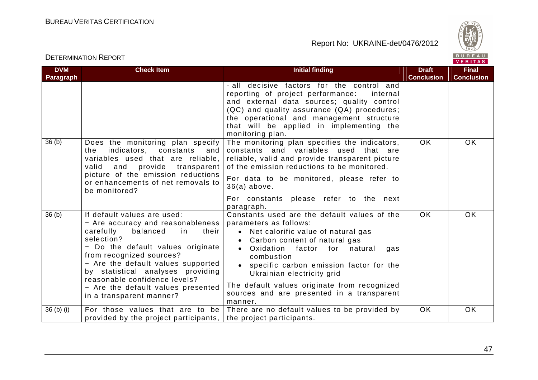

| <b>DVM</b>        | <b>Check Item</b>                                                                                                                                                                                                                                                                                                                                                     | <b>Initial finding</b>                                                                                                                                                                                                                                                                                                                                                                            | <b>Draft</b>      | <b>Final</b>      |
|-------------------|-----------------------------------------------------------------------------------------------------------------------------------------------------------------------------------------------------------------------------------------------------------------------------------------------------------------------------------------------------------------------|---------------------------------------------------------------------------------------------------------------------------------------------------------------------------------------------------------------------------------------------------------------------------------------------------------------------------------------------------------------------------------------------------|-------------------|-------------------|
| Paragraph         |                                                                                                                                                                                                                                                                                                                                                                       |                                                                                                                                                                                                                                                                                                                                                                                                   | <b>Conclusion</b> | <b>Conclusion</b> |
|                   |                                                                                                                                                                                                                                                                                                                                                                       | - all decisive factors for the control and<br>reporting of project performance:<br>internal<br>and external data sources; quality control<br>(QC) and quality assurance (QA) procedures;<br>the operational and management structure<br>that will be applied in implementing the<br>monitoring plan.                                                                                              |                   |                   |
| 36 <sub>(b)</sub> | Does the monitoring plan specify<br>the<br>indicators, constants<br>and<br>variables used that are reliable,<br>valid<br>and provide transparent<br>picture of the emission reductions<br>or enhancements of net removals to<br>be monitored?                                                                                                                         | The monitoring plan specifies the indicators,<br>constants and variables used that are<br>reliable, valid and provide transparent picture<br>of the emission reductions to be monitored.<br>For data to be monitored, please refer to<br>$36(a)$ above.<br>For constants please refer to the next<br>paragraph.                                                                                   | OK.               | OK.               |
| 36(b)             | If default values are used:<br>- Are accuracy and reasonableness<br>carefully<br>balanced<br>their<br>in<br>selection?<br>- Do the default values originate<br>from recognized sources?<br>- Are the default values supported<br>by statistical analyses providing<br>reasonable confidence levels?<br>- Are the default values presented<br>in a transparent manner? | Constants used are the default values of the<br>parameters as follows:<br>Net calorific value of natural gas<br>$\bullet$<br>Carbon content of natural gas<br>Oxidation factor for natural<br>gas<br>combustion<br>specific carbon emission factor for the<br>Ukrainian electricity grid<br>The default values originate from recognized<br>sources and are presented in a transparent<br>manner. | OK.               | OK.               |
| $36$ (b) (i)      | For those values that are to be<br>provided by the project participants,                                                                                                                                                                                                                                                                                              | There are no default values to be provided by<br>the project participants.                                                                                                                                                                                                                                                                                                                        | <b>OK</b>         | <b>OK</b>         |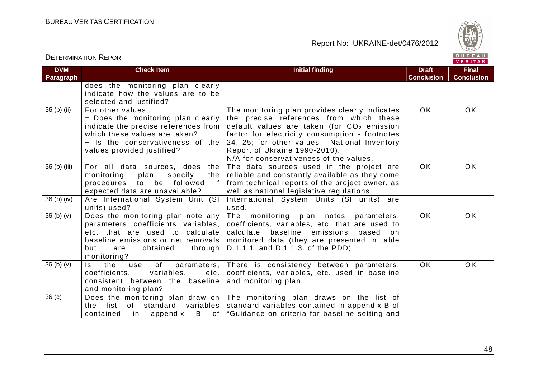

VERITAS

#### **DVM Paragraph Check Item Initial finding Initial finding Draft Conclusion Final Conclusion**  does the monitoring plan clearly indicate how the values are to be selected and justified? 36 (b) (ii) For other values, - Does the monitoring plan clearly indicate the precise references from which these values are taken?  $-$  Is the conservativeness of the values provided justified? The monitoring plan provides clearly indicates the precise references from which these default values are taken (for  $CO<sub>2</sub>$  emission factor for electricity consumption - footnotes 24, 25; for other values - National Inventory Report of Ukraine 1990-2010). N/A for conservativeness of the values. OK OK 36 (b) (iii)  $\vert$  For all data sources, does the monitoring plan specify the procedures to be followed expected data are unavailable? The data sources used in the project are reliable and constantly available as they come if from technical reports of the project owner, as well as national legislative regulations. OK OK 36 (b) (iv) Are International System Unit (SI units) used? International System Units (SI units) are used.  $36$  (b) (v)  $\overline{\phantom{a}}$  Does the monitoring plan note any parameters, coefficients, variables, etc. that are used to calculate baseline emissions or net removals but are obtained through D.1.1.1. and D.1.1.3. of the PDD) monitoring? The monitoring plan notes parameters, coefficients, variables, etc. that are used to calculate baseline emissions based on monitored data (they are presented in table OK OK  $36$  (b) (v) Is the use of parameters, coefficients, variables, etc. consistent between the baseline and monitoring plan? There is consistency between parameters, coefficients, variables, etc. used in baseline and monitoring plan. OK OK 36 (c) Does the monitoring plan draw on the list of standard variables contained in appendix B of The monitoring plan draws on the list of standard variables contained in appendix B of "Guidance on criteria for baseline setting and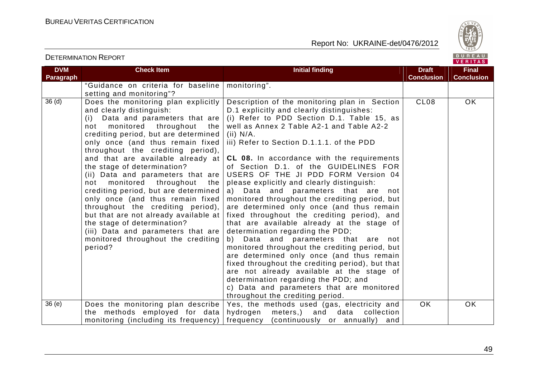

| <b>DVM</b>        | <b>Check Item</b>                                                                                                                                                                                                                                                                                                                                                                                                                                                                                                                                                                                                                                                                | <b>Initial finding</b>                                                                                                                                                                                                                                                                                                                                                                                                                                                                                                                                                                                                                                                                                                                                                                                                                                                                                                                                                                                                                      | <b>Draft</b>      | <b>Final</b>      |
|-------------------|----------------------------------------------------------------------------------------------------------------------------------------------------------------------------------------------------------------------------------------------------------------------------------------------------------------------------------------------------------------------------------------------------------------------------------------------------------------------------------------------------------------------------------------------------------------------------------------------------------------------------------------------------------------------------------|---------------------------------------------------------------------------------------------------------------------------------------------------------------------------------------------------------------------------------------------------------------------------------------------------------------------------------------------------------------------------------------------------------------------------------------------------------------------------------------------------------------------------------------------------------------------------------------------------------------------------------------------------------------------------------------------------------------------------------------------------------------------------------------------------------------------------------------------------------------------------------------------------------------------------------------------------------------------------------------------------------------------------------------------|-------------------|-------------------|
| Paragraph         |                                                                                                                                                                                                                                                                                                                                                                                                                                                                                                                                                                                                                                                                                  |                                                                                                                                                                                                                                                                                                                                                                                                                                                                                                                                                                                                                                                                                                                                                                                                                                                                                                                                                                                                                                             | <b>Conclusion</b> | <b>Conclusion</b> |
|                   | "Guidance on criteria for baseline                                                                                                                                                                                                                                                                                                                                                                                                                                                                                                                                                                                                                                               | monitoring".                                                                                                                                                                                                                                                                                                                                                                                                                                                                                                                                                                                                                                                                                                                                                                                                                                                                                                                                                                                                                                |                   |                   |
|                   | setting and monitoring"?                                                                                                                                                                                                                                                                                                                                                                                                                                                                                                                                                                                                                                                         |                                                                                                                                                                                                                                                                                                                                                                                                                                                                                                                                                                                                                                                                                                                                                                                                                                                                                                                                                                                                                                             |                   |                   |
| 36 <sub>(d)</sub> | Does the monitoring plan explicitly<br>and clearly distinguish:<br>(i) Data and parameters that are<br>not monitored throughout the<br>crediting period, but are determined<br>only once (and thus remain fixed<br>throughout the crediting period),<br>and that are available already at<br>the stage of determination?<br>(ii) Data and parameters that are<br>not monitored throughout<br>the<br>crediting period, but are determined<br>only once (and thus remain fixed<br>throughout the crediting period),<br>but that are not already available at<br>the stage of determination?<br>(iii) Data and parameters that are<br>monitored throughout the crediting<br>period? | Description of the monitoring plan in Section<br>D.1 explicitly and clearly distinguishes:<br>(i) Refer to PDD Section D.1. Table 15, as<br>well as Annex 2 Table A2-1 and Table A2-2<br>(ii) N/A.<br>iii) Refer to Section D.1.1.1. of the PDD<br><b>CL 08.</b> In accordance with the requirements<br>of Section D.1. of the GUIDELINES FOR<br>USERS OF THE JI PDD FORM Version 04<br>please explicitly and clearly distinguish:<br>a) Data and parameters that are<br>not<br>monitored throughout the crediting period, but<br>are determined only once (and thus remain<br>fixed throughout the crediting period), and<br>that are available already at the stage of<br>determination regarding the PDD;<br>Data and parameters that are not<br>b)<br>monitored throughout the crediting period, but<br>are determined only once (and thus remain<br>fixed throughout the crediting period), but that<br>are not already available at the stage of<br>determination regarding the PDD; and<br>c) Data and parameters that are monitored | CL <sub>08</sub>  | OK                |
| 36(e)             | Does the monitoring plan describe                                                                                                                                                                                                                                                                                                                                                                                                                                                                                                                                                                                                                                                | throughout the crediting period.<br>Yes, the methods used (gas, electricity and                                                                                                                                                                                                                                                                                                                                                                                                                                                                                                                                                                                                                                                                                                                                                                                                                                                                                                                                                             | <b>OK</b>         | <b>OK</b>         |
|                   | the methods employed for data                                                                                                                                                                                                                                                                                                                                                                                                                                                                                                                                                                                                                                                    | meters,) and data<br>hydrogen<br>collection                                                                                                                                                                                                                                                                                                                                                                                                                                                                                                                                                                                                                                                                                                                                                                                                                                                                                                                                                                                                 |                   |                   |
|                   | monitoring (including its frequency)                                                                                                                                                                                                                                                                                                                                                                                                                                                                                                                                                                                                                                             | frequency (continuously or annually) and                                                                                                                                                                                                                                                                                                                                                                                                                                                                                                                                                                                                                                                                                                                                                                                                                                                                                                                                                                                                    |                   |                   |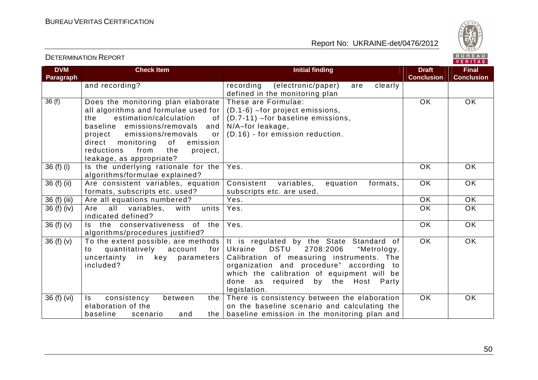

#### VERITAS **Check Item Initial finding Draft Draft DVM Final Paragraph Conclusion Conclusion**  and recording? The cording (electronic/paper) are clearly defined in the monitoring plan 36 (f) Does the monitoring plan elaborate These are Formulae: OK OK all algorithms and formulae used for (D.1-6) –for project emissions, (D.7-11) –for baseline emissions, the estimation/calculation of baseline emissions/removals and N/A–for leakage, (D.16) - for emission reduction. project emissions/removals or direct monitoring of emission reductions from the project, leakage, as appropriate? 36 (f) (i) Is the underlying rationale for the Yes. OK OK algorithms/formulae explained? OK OK 36 (f) (ii) | Are consistent variables, equation Consistent variables, equation formats, formats, subscripts etc. used? subscripts etc. are used. 36 (f) (iii) Are all equations numbered?  $\vert$  Yes.  $\vert$  OK  $\vert$  OK OK 36 (f) (iv)  $\begin{vmatrix} \end{vmatrix}$  Are all variables, with units Yes. OK OK indicated defined? 36 (f) (v)  $\vert$  is the conservativeness of the Yes. OK OK algorithms/procedures justified? 36 (f)  $(v)$  To the extent possible, are methods It is regulated by the State Standard of<br>Ukraine DSTU 2708:2006 "Metrology.  $\overline{OK}$  OK 2708:2006 "Metrology. to quantitatively account for Calibration of measuring instruments. The uncertainty in key parameters included? organization and procedure" according to which the calibration of equipment will be done as required by the Host Party legislation. the There is consistency between the elaboration  $36$  (f) (vi) Is consistency between OK OK elaboration of the on the baseline scenario and calculating the baseline emission in the monitoring plan and baseline scenario and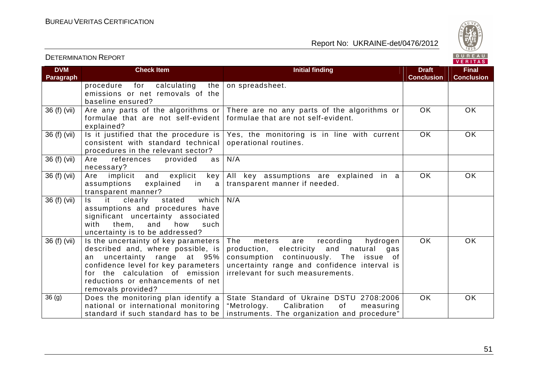



| <b>DVM</b>        | <b>Check Item</b>                              | <b>Initial finding</b>                        | <b>Draft</b>      | <b>Final</b>      |
|-------------------|------------------------------------------------|-----------------------------------------------|-------------------|-------------------|
| Paragraph         |                                                |                                               | <b>Conclusion</b> | <b>Conclusion</b> |
|                   | for<br>procedure<br>calculating<br>the         | on spreadsheet.                               |                   |                   |
|                   | emissions or net removals of the               |                                               |                   |                   |
|                   | baseline ensured?                              |                                               |                   |                   |
| 36 (f) (vii)      | Are any parts of the algorithms or $ $         | There are no any parts of the algorithms or   | <b>OK</b>         | OK                |
|                   | formulae that are not self-evident             | formulae that are not self-evident.           |                   |                   |
|                   | explained?                                     |                                               |                   |                   |
| 36 (f) (vii)      | Is it justified that the procedure is          | Yes, the monitoring is in line with current   | $\overline{OK}$   | OK                |
|                   | consistent with standard technical             | operational routines.                         |                   |                   |
|                   | procedures in the relevant sector?             |                                               |                   |                   |
| 36 (f) (vii)      | provided<br>Are<br>references<br>as            | N/A                                           |                   |                   |
|                   | necessary?                                     |                                               |                   |                   |
| 36 (f) (vii)      | implicit<br>and<br>explicit<br>Are<br>key      | All key assumptions are explained in a        | <b>OK</b>         | <b>OK</b>         |
|                   | explained<br>in<br>assumptions<br>$\mathsf{a}$ | transparent manner if needed.                 |                   |                   |
|                   | transparent manner?                            |                                               |                   |                   |
| 36 (f) (vii)      | it<br>which  <br>clearly<br>stated<br>ls.      | N/A                                           |                   |                   |
|                   | assumptions and procedures have                |                                               |                   |                   |
|                   | significant uncertainty associated             |                                               |                   |                   |
|                   | them,<br>with<br>and<br>how<br>such            |                                               |                   |                   |
|                   | uncertainty is to be addressed?                |                                               |                   |                   |
| 36 (f) (vii)      | Is the uncertainty of key parameters           | meters<br>The<br>recording<br>hydrogen<br>are | <b>OK</b>         | <b>OK</b>         |
|                   | described and, where possible, is              | production, electricity and natural<br>gas    |                   |                   |
|                   | uncertainty range at 95%<br>an                 | consumption continuously. The issue of        |                   |                   |
|                   | confidence level for key parameters            | uncertainty range and confidence interval is  |                   |                   |
|                   | for the calculation of emission                | irrelevant for such measurements.             |                   |                   |
|                   | reductions or enhancements of net              |                                               |                   |                   |
|                   | removals provided?                             |                                               |                   |                   |
| 36 <sub>(g)</sub> | Does the monitoring plan identify a            | State Standard of Ukraine DSTU 2708:2006      | <b>OK</b>         | OK                |
|                   | national or international monitoring           | "Metrology.<br>Calibration<br>of<br>measuring |                   |                   |
|                   | standard if such standard has to be            | instruments. The organization and procedure"  |                   |                   |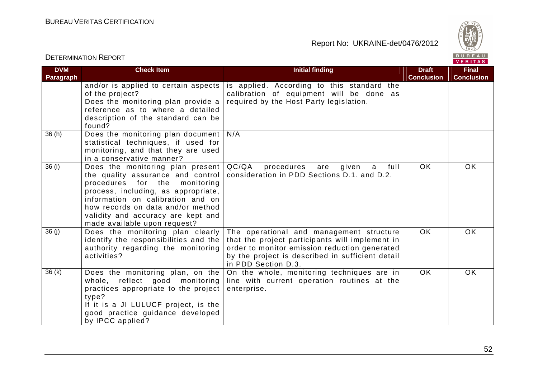

|                                |                                                                                                                                                                                                                                                                                                  |                                                                                                                                                                                                                         |                                   | <b>VENIIAS</b>                    |
|--------------------------------|--------------------------------------------------------------------------------------------------------------------------------------------------------------------------------------------------------------------------------------------------------------------------------------------------|-------------------------------------------------------------------------------------------------------------------------------------------------------------------------------------------------------------------------|-----------------------------------|-----------------------------------|
| <b>DVM</b><br><b>Paragraph</b> | <b>Check Item</b>                                                                                                                                                                                                                                                                                | <b>Initial finding</b>                                                                                                                                                                                                  | <b>Draft</b><br><b>Conclusion</b> | <b>Final</b><br><b>Conclusion</b> |
|                                | and/or is applied to certain aspects<br>of the project?<br>Does the monitoring plan provide a<br>reference as to where a detailed<br>description of the standard can be<br>found?                                                                                                                | is applied. According to this standard the<br>calibration of equipment will be done as<br>required by the Host Party legislation.                                                                                       |                                   |                                   |
| 36(h)                          | Does the monitoring plan document<br>statistical techniques, if used for<br>monitoring, and that they are used<br>in a conservative manner?                                                                                                                                                      | N/A                                                                                                                                                                                                                     |                                   |                                   |
| 36(i)                          | Does the monitoring plan present<br>the quality assurance and control<br>procedures for the<br>monitoring<br>process, including, as appropriate,<br>information on calibration and on<br>how records on data and/or method<br>validity and accuracy are kept and<br>made available upon request? | QC/QA<br>procedures<br>full<br>given<br>are<br>a<br>consideration in PDD Sections D.1. and D.2.                                                                                                                         | <b>OK</b>                         | OK.                               |
| 36(j)                          | Does the monitoring plan clearly<br>identify the responsibilities and the<br>authority regarding the monitoring<br>activities?                                                                                                                                                                   | The operational and management structure<br>that the project participants will implement in<br>order to monitor emission reduction generated<br>by the project is described in sufficient detail<br>in PDD Section D.3. | <b>OK</b>                         | OK                                |
| 36(k)                          | Does the monitoring plan, on the<br>whole, reflect good monitoring<br>practices appropriate to the project<br>type?<br>If it is a JI LULUCF project, is the<br>good practice guidance developed<br>by IPCC applied?                                                                              | On the whole, monitoring techniques are in<br>line with current operation routines at the<br>enterprise.                                                                                                                | OK.                               | <b>OK</b>                         |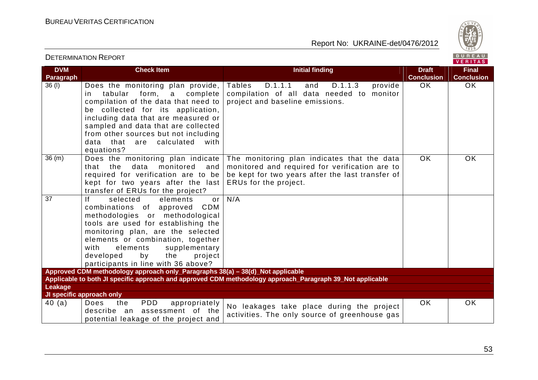

|                         | <b>DETERMINATION REPORT</b>                                                                                                                                                                                                                                                                                                              |                                                                                                                                                                            |                                   | BUREAU<br><b>VERITAS</b>          |
|-------------------------|------------------------------------------------------------------------------------------------------------------------------------------------------------------------------------------------------------------------------------------------------------------------------------------------------------------------------------------|----------------------------------------------------------------------------------------------------------------------------------------------------------------------------|-----------------------------------|-----------------------------------|
| <b>DVM</b><br>Paragraph | <b>Check Item</b>                                                                                                                                                                                                                                                                                                                        | <b>Initial finding</b>                                                                                                                                                     | <b>Draft</b><br><b>Conclusion</b> | <b>Final</b><br><b>Conclusion</b> |
| 36 (I)                  | Does the monitoring plan provide,<br>form, a<br>tabular<br>complete<br>in.<br>compilation of the data that need to<br>be collected for its application,<br>including data that are measured or<br>sampled and data that are collected<br>from other sources but not including<br>data that are calculated<br>with<br>equations?          | <b>Tables</b><br>D.1.1.1<br>D.1.1.3<br>and<br>provide<br>compilation of all data needed to<br>monitor<br>project and baseline emissions.                                   | OK.                               | OK.                               |
| 36(m)                   | Does the monitoring plan indicate<br>data<br>monitored<br>that the<br>and<br>required for verification are to be<br>kept for two years after the last<br>transfer of ERUs for the project?                                                                                                                                               | The monitoring plan indicates that the data<br>monitored and required for verification are to<br>be kept for two years after the last transfer of<br>ERUs for the project. | OK.                               | <b>OK</b>                         |
| $\overline{37}$         | selected<br>elements<br>Ιf<br>or<br>combinations of approved<br>CDM<br>methodologies or methodological<br>tools are used for establishing the<br>monitoring plan, are the selected<br>elements or combination, together<br>supplementary<br>with<br>elements<br>developed<br>the<br>project<br>by<br>participants in line with 36 above? | N/A                                                                                                                                                                        |                                   |                                   |
|                         | Approved CDM methodology approach only_Paragraphs 38(a) - 38(d)_Not applicable                                                                                                                                                                                                                                                           | Applicable to both JI specific approach and approved CDM methodology approach_Paragraph 39_Not applicable                                                                  |                                   |                                   |
| Leakage                 | JI specific approach only                                                                                                                                                                                                                                                                                                                |                                                                                                                                                                            |                                   |                                   |
| 40(a)                   | Does<br><b>PDD</b><br>the<br>appropriately<br>assessment of the<br>describe an<br>potential leakage of the project and                                                                                                                                                                                                                   | No leakages take place during the project<br>activities. The only source of greenhouse gas                                                                                 | <b>OK</b>                         | <b>OK</b>                         |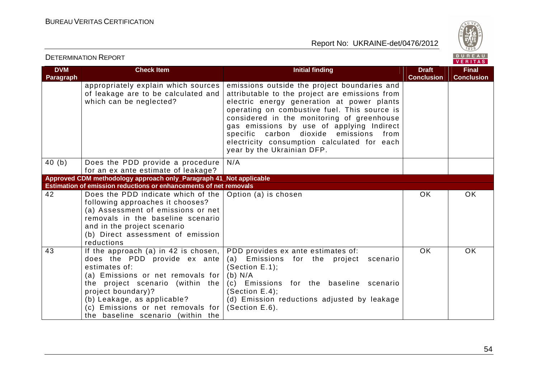



| <b>DVM</b><br>Paragraph | <b>Check Item</b>                                                                                                                                                                                                                                                                                 | <b>Initial finding</b>                                                                                                                                                                                                                                                                                                                                                                                         | <b>Draft</b><br><b>Conclusion</b> | <b>Final</b><br><b>Conclusion</b> |
|-------------------------|---------------------------------------------------------------------------------------------------------------------------------------------------------------------------------------------------------------------------------------------------------------------------------------------------|----------------------------------------------------------------------------------------------------------------------------------------------------------------------------------------------------------------------------------------------------------------------------------------------------------------------------------------------------------------------------------------------------------------|-----------------------------------|-----------------------------------|
|                         | appropriately explain which sources<br>of leakage are to be calculated and<br>which can be neglected?                                                                                                                                                                                             | emissions outside the project boundaries and<br>attributable to the project are emissions from<br>electric energy generation at power plants<br>operating on combustive fuel. This source is<br>considered in the monitoring of greenhouse<br>gas emissions by use of applying Indirect<br>specific carbon dioxide emissions from<br>electricity consumption calculated for each<br>year by the Ukrainian DFP. |                                   |                                   |
| 40(b)                   | Does the PDD provide a procedure<br>for an ex ante estimate of leakage?                                                                                                                                                                                                                           | N/A                                                                                                                                                                                                                                                                                                                                                                                                            |                                   |                                   |
|                         | Approved CDM methodology approach only_Paragraph 41_Not applicable                                                                                                                                                                                                                                |                                                                                                                                                                                                                                                                                                                                                                                                                |                                   |                                   |
|                         | Estimation of emission reductions or enhancements of net removals                                                                                                                                                                                                                                 |                                                                                                                                                                                                                                                                                                                                                                                                                |                                   |                                   |
| 42                      | Does the PDD indicate which of the $\vert$ Option (a) is chosen<br>following approaches it chooses?<br>(a) Assessment of emissions or net<br>removals in the baseline scenario<br>and in the project scenario<br>(b) Direct assessment of emission<br>reductions                                  |                                                                                                                                                                                                                                                                                                                                                                                                                | <b>OK</b>                         | OK                                |
| 43                      | If the approach (a) in 42 is chosen, $ $<br>does the PDD provide ex ante<br>estimates of:<br>(a) Emissions or net removals for<br>the project scenario (within the<br>project boundary)?<br>(b) Leakage, as applicable?<br>(c) Emissions or net removals for<br>the baseline scenario (within the | PDD provides ex ante estimates of:<br>Emissions for the project<br>(a)<br>scenario<br>(Section $E.1$ );<br>(b) N/A<br>(c) Emissions for the baseline scenario<br>(Section E.4);<br>(d) Emission reductions adjusted by leakage<br>(Section E.6).                                                                                                                                                               | <b>OK</b>                         | OK                                |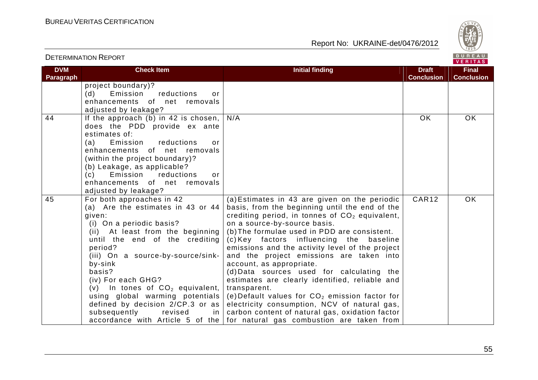



| <b>DVM</b> | <b>Check Item</b>                          | <b>Initial finding</b>                                                     | <b>Draft</b>      | <b>Final</b>      |
|------------|--------------------------------------------|----------------------------------------------------------------------------|-------------------|-------------------|
| Paragraph  |                                            |                                                                            | <b>Conclusion</b> | <b>Conclusion</b> |
|            | project boundary)?                         |                                                                            |                   |                   |
|            | (d)<br>Emission<br>reductions<br>or        |                                                                            |                   |                   |
|            | enhancements of net removals               |                                                                            |                   |                   |
|            | adjusted by leakage?                       |                                                                            |                   |                   |
| 44         | If the approach (b) in 42 is chosen, $ $   | N/A                                                                        | <b>OK</b>         | <b>OK</b>         |
|            | does the PDD provide ex ante               |                                                                            |                   |                   |
|            | estimates of:                              |                                                                            |                   |                   |
|            | reductions<br>(a)<br>Emission<br>or        |                                                                            |                   |                   |
|            | enhancements of net removals               |                                                                            |                   |                   |
|            | (within the project boundary)?             |                                                                            |                   |                   |
|            | (b) Leakage, as applicable?                |                                                                            |                   |                   |
|            | Emission<br>reductions<br>(c)<br>or        |                                                                            |                   |                   |
|            | enhancements of net removals               |                                                                            |                   |                   |
|            | adjusted by leakage?                       |                                                                            |                   |                   |
| 45         | For both approaches in 42                  | (a) Estimates in 43 are given on the periodic                              | CAR12             | OK.               |
|            | (a) Are the estimates in 43 or 44          | basis, from the beginning until the end of the                             |                   |                   |
|            | given:                                     | crediting period, in tonnes of $CO2$ equivalent,                           |                   |                   |
|            | (i) On a periodic basis?                   | on a source-by-source basis.                                               |                   |                   |
|            | (ii) At least from the beginning           | (b) The formulae used in PDD are consistent.                               |                   |                   |
|            | until the end of the crediting             | (c) Key factors influencing the<br>baseline                                |                   |                   |
|            | period?                                    | emissions and the activity level of the project                            |                   |                   |
|            | (iii) On a source-by-source/sink-          | and the project emissions are taken into                                   |                   |                   |
|            | by-sink                                    | account, as appropriate.                                                   |                   |                   |
|            | basis?                                     | (d) Data sources used for calculating the                                  |                   |                   |
|            | (iv) For each GHG?                         | estimates are clearly identified, reliable and                             |                   |                   |
|            | (v) In tones of $CO2$ equivalent,          | transparent.                                                               |                   |                   |
|            | using global warming potentials            | (e) Default values for $CO2$ emission factor for                           |                   |                   |
|            | defined by decision $2/CP.3$ or as         | electricity consumption, NCV of natural gas,                               |                   |                   |
|            | subsequently<br>in <sub>1</sub><br>revised | carbon content of natural gas, oxidation factor                            |                   |                   |
|            |                                            | accordance with Article 5 of the for natural gas combustion are taken from |                   |                   |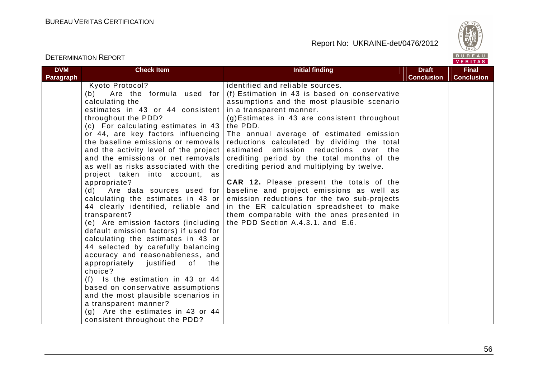

| <b>DVM</b>       | <b>Check Item</b>                     | <b>Initial finding</b>                          | <b>Draft</b>      | <b>Final</b>      |
|------------------|---------------------------------------|-------------------------------------------------|-------------------|-------------------|
| <b>Paragraph</b> |                                       |                                                 | <b>Conclusion</b> | <b>Conclusion</b> |
|                  | Kyoto Protocol?                       | identified and reliable sources.                |                   |                   |
|                  | Are the formula used for<br>(b)       | (f) Estimation in 43 is based on conservative   |                   |                   |
|                  | calculating the                       | assumptions and the most plausible scenario     |                   |                   |
|                  | estimates in 43 or 44 consistent      | in a transparent manner.                        |                   |                   |
|                  | throughout the PDD?                   | (g) Estimates in 43 are consistent throughout   |                   |                   |
|                  | (c) For calculating estimates in 43   | the PDD.                                        |                   |                   |
|                  | or 44, are key factors influencing    | The annual average of estimated emission        |                   |                   |
|                  | the baseline emissions or removals    | reductions calculated by dividing the total     |                   |                   |
|                  | and the activity level of the project | estimated<br>emission reductions over<br>the    |                   |                   |
|                  | and the emissions or net removals     | crediting period by the total months of the     |                   |                   |
|                  | as well as risks associated with the  | crediting period and multiplying by twelve.     |                   |                   |
|                  | project taken into account, as        |                                                 |                   |                   |
|                  | appropriate?                          | <b>CAR 12.</b> Please present the totals of the |                   |                   |
|                  | (d)<br>Are data sources used for      | baseline and project emissions as well as       |                   |                   |
|                  | calculating the estimates in 43 or    | emission reductions for the two sub-projects    |                   |                   |
|                  | 44 clearly identified, reliable and   | in the ER calculation spreadsheet to make       |                   |                   |
|                  | transparent?                          | them comparable with the ones presented in      |                   |                   |
|                  | (e) Are emission factors (including   | the PDD Section A.4.3.1. and E.6.               |                   |                   |
|                  | default emission factors) if used for |                                                 |                   |                   |
|                  | calculating the estimates in 43 or    |                                                 |                   |                   |
|                  | 44 selected by carefully balancing    |                                                 |                   |                   |
|                  | accuracy and reasonableness, and      |                                                 |                   |                   |
|                  | appropriately justified<br>the<br>of  |                                                 |                   |                   |
|                  | choice?                               |                                                 |                   |                   |
|                  | $(f)$ Is the estimation in 43 or 44   |                                                 |                   |                   |
|                  | based on conservative assumptions     |                                                 |                   |                   |
|                  | and the most plausible scenarios in   |                                                 |                   |                   |
|                  | a transparent manner?                 |                                                 |                   |                   |
|                  | $(g)$ Are the estimates in 43 or 44   |                                                 |                   |                   |
|                  | consistent throughout the PDD?        |                                                 |                   |                   |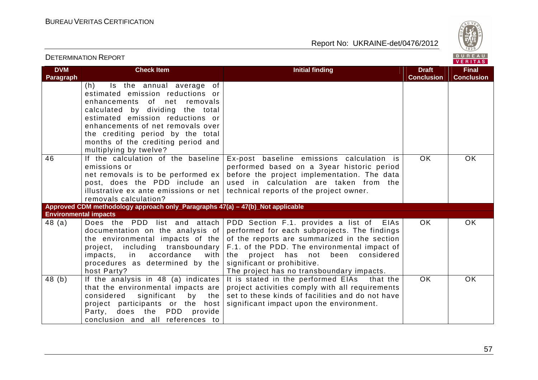

| <b>DETERMINATION REPORT</b>  |                                                                                                                                                                                                                                                                                                                          |                                                                                                                                                                                                                                                                                                                |                                   | BUREAU<br>VERITAS                 |
|------------------------------|--------------------------------------------------------------------------------------------------------------------------------------------------------------------------------------------------------------------------------------------------------------------------------------------------------------------------|----------------------------------------------------------------------------------------------------------------------------------------------------------------------------------------------------------------------------------------------------------------------------------------------------------------|-----------------------------------|-----------------------------------|
| <b>DVM</b><br>Paragraph      | <b>Check Item</b>                                                                                                                                                                                                                                                                                                        | <b>Initial finding</b>                                                                                                                                                                                                                                                                                         | <b>Draft</b><br><b>Conclusion</b> | <b>Final</b><br><b>Conclusion</b> |
|                              | Is the annual average of<br>(h)<br>estimated emission reductions or<br>enhancements of<br>net removals<br>calculated by dividing the total<br>estimated emission reductions or<br>enhancements of net removals over<br>the crediting period by the total<br>months of the crediting period and<br>multiplying by twelve? |                                                                                                                                                                                                                                                                                                                |                                   |                                   |
| 46                           | If the calculation of the baseline<br>emissions or<br>net removals is to be performed $ex$<br>post, does the PDD include an<br>illustrative ex ante emissions or net<br>removals calculation?                                                                                                                            | Ex-post baseline emissions calculation is<br>performed based on a 3year historic period<br>before the project implementation. The data<br>used in calculation are taken from the<br>technical reports of the project owner.                                                                                    | <b>OK</b>                         | <b>OK</b>                         |
| <b>Environmental impacts</b> | Approved CDM methodology approach only_Paragraphs 47(a) - 47(b)_Not applicable                                                                                                                                                                                                                                           |                                                                                                                                                                                                                                                                                                                |                                   |                                   |
| 48(a)                        | Does the PDD list and attach<br>documentation on the analysis of<br>the environmental impacts of the<br>project, including transboundary<br>impacts, in accordance<br>with<br>procedures as determined by the<br>host Party?                                                                                             | PDD Section F.1. provides a list of EIAs<br>performed for each subprojects. The findings<br>of the reports are summarized in the section<br>F.1. of the PDD. The environmental impact of<br>project has not been considered<br>the<br>significant or prohibitive.<br>The project has no transboundary impacts. | <b>OK</b>                         | <b>OK</b>                         |
| 48(b)                        | If the analysis in 48 (a) indicates<br>that the environmental impacts are<br>significant by the<br>considered<br>project participants or the host<br>does the PDD provide<br>Party,<br>conclusion and all references to                                                                                                  | It is stated in the performed EIAs that the<br>project activities comply with all requirements<br>set to these kinds of facilities and do not have<br>significant impact upon the environment.                                                                                                                 | <b>OK</b>                         | <b>OK</b>                         |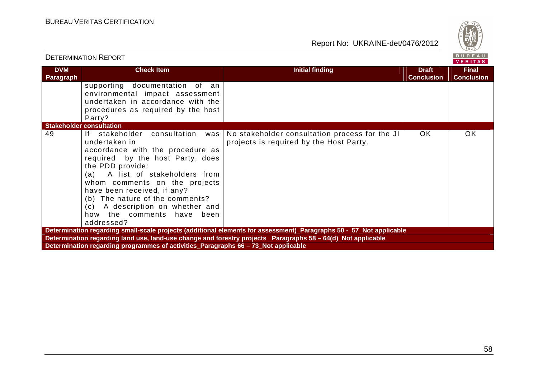

|                                                                                    | <b>DETERMINATION REPORT</b>                                                                                                                                                                                                                                                                                                                                              |                                                                                                               |                                   | BUREAU<br><b>VERITAS</b>          |  |
|------------------------------------------------------------------------------------|--------------------------------------------------------------------------------------------------------------------------------------------------------------------------------------------------------------------------------------------------------------------------------------------------------------------------------------------------------------------------|---------------------------------------------------------------------------------------------------------------|-----------------------------------|-----------------------------------|--|
| <b>DVM</b><br>Paragraph                                                            | <b>Check Item</b>                                                                                                                                                                                                                                                                                                                                                        | <b>Initial finding</b>                                                                                        | <b>Draft</b><br><b>Conclusion</b> | <b>Final</b><br><b>Conclusion</b> |  |
|                                                                                    | supporting documentation of an<br>environmental impact assessment<br>undertaken in accordance with the<br>procedures as required by the host<br>Party?                                                                                                                                                                                                                   |                                                                                                               |                                   |                                   |  |
|                                                                                    | <b>Stakeholder consultation</b>                                                                                                                                                                                                                                                                                                                                          |                                                                                                               |                                   |                                   |  |
| 49                                                                                 | If stakeholder<br>consultation<br>was<br>undertaken in<br>accordance with the procedure as<br>required by the host Party, does<br>the PDD provide:<br>(a) A list of stakeholders from<br>whom comments on the projects<br>have been received, if any?<br>(b) The nature of the comments?<br>(c) A description on whether and<br>how the comments have been<br>addressed? | No stakeholder consultation process for the JI<br>projects is required by the Host Party.                     | OK.                               | OK.                               |  |
|                                                                                    | Determination regarding small-scale projects (additional elements for assessment)_Paragraphs 50 - 57_Not applicable                                                                                                                                                                                                                                                      |                                                                                                               |                                   |                                   |  |
|                                                                                    |                                                                                                                                                                                                                                                                                                                                                                          | Determination regarding land use, land-use change and forestry projects _Paragraphs 58 - 64(d)_Not applicable |                                   |                                   |  |
| Determination regarding programmes of activities_Paragraphs 66 - 73_Not applicable |                                                                                                                                                                                                                                                                                                                                                                          |                                                                                                               |                                   |                                   |  |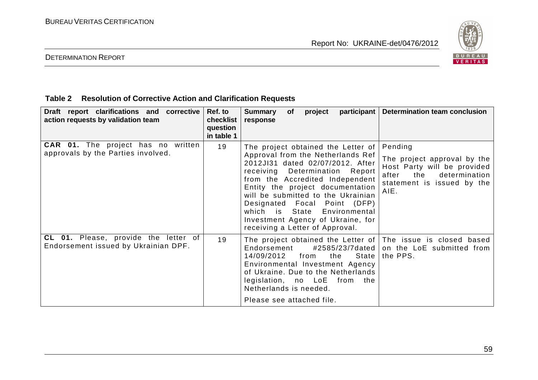

#### DETERMINATION REPORT

#### **Table 2 Resolution of Corrective Action and Clarification Requests**

| Draft report clarifications and corrective<br>action requests by validation team | Ref. to<br>checklist<br>question<br>in table 1 | <b>Summary</b><br>participant   Determination team conclusion<br>of<br>project<br>response                                                                                                                                                                                                                                                                                                                                                                                                                                                            |
|----------------------------------------------------------------------------------|------------------------------------------------|-------------------------------------------------------------------------------------------------------------------------------------------------------------------------------------------------------------------------------------------------------------------------------------------------------------------------------------------------------------------------------------------------------------------------------------------------------------------------------------------------------------------------------------------------------|
| <b>CAR 01.</b> The project has no written<br>approvals by the Parties involved.  | 19                                             | Pending<br>The project obtained the Letter of<br>Approval from the Netherlands Ref<br>The project approval by the<br>2012JI31 dated 02/07/2012. After<br>Host Party will be provided<br>receiving Determination Report<br>the<br>determination<br>after<br>from the Accredited Independent<br>statement is issued by the<br>Entity the project documentation<br>AIE.<br>will be submitted to the Ukrainian<br>Designated Focal Point (DFP)<br>which is State<br>Environmental<br>Investment Agency of Ukraine, for<br>receiving a Letter of Approval. |
| CL 01. Please, provide the letter of<br>Endorsement issued by Ukrainian DPF.     | 19                                             | The project obtained the Letter of The issue is closed based<br>#2585/23/7dated  <br>Endorsement<br>on the LoE submitted from<br>14/09/2012<br>the<br><b>State</b><br>from<br>the PPS.<br>Environmental Investment Agency<br>of Ukraine. Due to the Netherlands<br>legislation, no LoE from<br>the<br>Netherlands is needed.<br>Please see attached file.                                                                                                                                                                                             |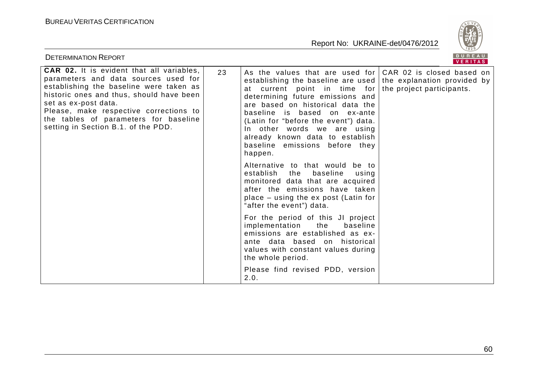

| <b>DETERMINATION REPORT</b>                                                                                                                                                                                                                                                                                                       |    |                                                                                                                                                                                                                                                                                                                                                                                                                               | BUREAU<br>VERITAS         |
|-----------------------------------------------------------------------------------------------------------------------------------------------------------------------------------------------------------------------------------------------------------------------------------------------------------------------------------|----|-------------------------------------------------------------------------------------------------------------------------------------------------------------------------------------------------------------------------------------------------------------------------------------------------------------------------------------------------------------------------------------------------------------------------------|---------------------------|
| <b>CAR 02.</b> It is evident that all variables,<br>parameters and data sources used for<br>establishing the baseline were taken as<br>historic ones and thus, should have been<br>set as ex-post data.<br>Please, make respective corrections to<br>the tables of parameters for baseline<br>setting in Section B.1. of the PDD. | 23 | As the values that are used for $ CAR$ 02 is closed based on<br>establishing the baseline are used the explanation provided by<br>at current point in time for<br>determining future emissions and<br>are based on historical data the<br>baseline is based on ex-ante<br>(Latin for "before the event") data.<br>In other words we are using<br>already known data to establish<br>baseline emissions before they<br>happen. | the project participants. |
|                                                                                                                                                                                                                                                                                                                                   |    | Alternative to that would be to<br>establish the<br>baseline<br>using<br>monitored data that are acquired<br>after the emissions have taken<br>place – using the ex post (Latin for<br>"after the event") data.                                                                                                                                                                                                               |                           |
|                                                                                                                                                                                                                                                                                                                                   |    | For the period of this JI project<br>implementation<br>the<br>baseline<br>emissions are established as ex-<br>ante data based on historical<br>values with constant values during<br>the whole period.                                                                                                                                                                                                                        |                           |
|                                                                                                                                                                                                                                                                                                                                   |    | Please find revised PDD, version<br>2.0.                                                                                                                                                                                                                                                                                                                                                                                      |                           |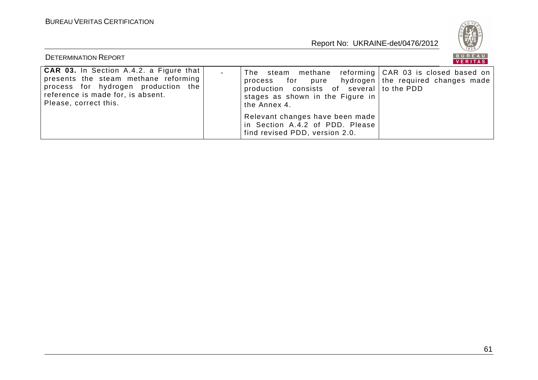

|                                                                                                                                                                                        |                                                                                                                                                                                                                 | <b>VERIIAS</b> |
|----------------------------------------------------------------------------------------------------------------------------------------------------------------------------------------|-----------------------------------------------------------------------------------------------------------------------------------------------------------------------------------------------------------------|----------------|
| CAR 03. In Section A.4.2. a Figure that  <br>presents the steam methane reforming<br>process for hydrogen production the<br>reference is made for, is absent.<br>Please, correct this. | The steam methane reforming CAR 03 is closed based on<br>process for pure hydrogen   the required changes made<br>production consists of several to the PDD<br>stages as shown in the Figure in<br>the Annex 4. |                |
|                                                                                                                                                                                        | Relevant changes have been made<br>in Section A.4.2 of PDD. Please<br>find revised PDD, version 2.0.                                                                                                            |                |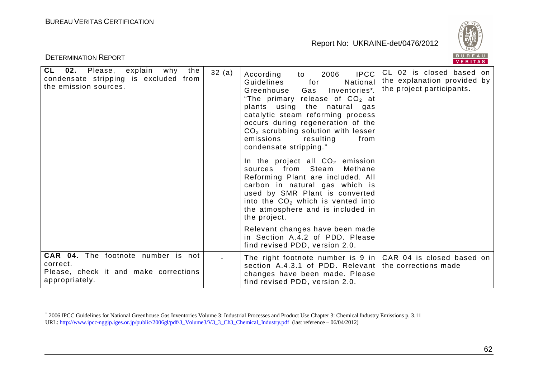

|                                                                                                                  |       |                                                                                                                                                                                                                                                                                                                                                                 | VENIIAS                                                                              |
|------------------------------------------------------------------------------------------------------------------|-------|-----------------------------------------------------------------------------------------------------------------------------------------------------------------------------------------------------------------------------------------------------------------------------------------------------------------------------------------------------------------|--------------------------------------------------------------------------------------|
| <b>CL</b><br>02.<br>Please, explain why<br>the<br>condensate stripping is excluded from<br>the emission sources. | 32(a) | <b>IPCC</b><br>2006<br>According<br>to<br>National<br>Guidelines<br>for<br>Gas<br>Greenhouse<br>Inventories*.<br>"The primary release of $CO2$ at<br>plants using the natural gas<br>catalytic steam reforming process<br>occurs during regeneration of the<br>$CO2$ scrubbing solution with lesser<br>emissions<br>resulting<br>from<br>condensate stripping." | CL 02 is closed based on<br>the explanation provided by<br>the project participants. |
|                                                                                                                  |       | In the project all $CO2$ emission<br>sources from Steam<br>Methane<br>Reforming Plant are included. All<br>carbon in natural gas which is<br>used by SMR Plant is converted<br>into the $CO2$ which is vented into<br>the atmosphere and is included in<br>the project.                                                                                         |                                                                                      |
|                                                                                                                  |       | Relevant changes have been made<br>in Section A.4.2 of PDD. Please<br>find revised PDD, version 2.0.                                                                                                                                                                                                                                                            |                                                                                      |
| <b>CAR 04.</b> The footnote number is not<br>correct.<br>Please, check it and make corrections<br>appropriately. |       | The right footnote number is 9 in $ CAR$ 04 is closed based on<br>section A.4.3.1 of PDD. Relevant<br>changes have been made. Please<br>find revised PDD, version 2.0.                                                                                                                                                                                          | the corrections made                                                                 |

<sup>\* 2006</sup> IPCC Guidelines for National Greenhouse Gas Inventories Volume 3: Industrial Processes and Product Use Chapter 3: Chemical Industry Emissions p. 3.11 URL: http://www.ipcc-nggip.iges.or.jp/public/2006gl/pdf/3\_Volume3/V3\_3\_Ch3\_Chemical\_Industry.pdf (last reference – 06/04/2012)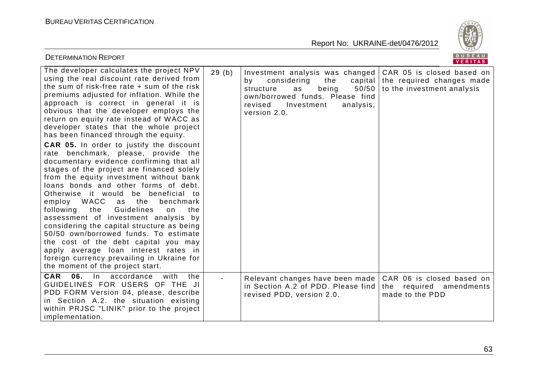

| <b>DETERMINATION REPORT</b>                                                                                                                                                                                                                                                                                                                                                                                                                                                                                                                                                                                                                                                                                                                                                                                                                                                                                                                                                                                                                                                                               |                                                                                                                                                                                           | BUREAU<br>VERITAS                                                                              |
|-----------------------------------------------------------------------------------------------------------------------------------------------------------------------------------------------------------------------------------------------------------------------------------------------------------------------------------------------------------------------------------------------------------------------------------------------------------------------------------------------------------------------------------------------------------------------------------------------------------------------------------------------------------------------------------------------------------------------------------------------------------------------------------------------------------------------------------------------------------------------------------------------------------------------------------------------------------------------------------------------------------------------------------------------------------------------------------------------------------|-------------------------------------------------------------------------------------------------------------------------------------------------------------------------------------------|------------------------------------------------------------------------------------------------|
| The developer calculates the project NPV<br>29(b)<br>using the real discount rate derived from<br>the sum of risk-free rate + sum of the risk<br>premiums adjusted for inflation. While the<br>approach is correct in general it is<br>obvious that the developer employs the<br>return on equity rate instead of WACC as<br>developer states that the whole project<br>has been financed through the equity.<br>CAR 05. In order to justify the discount<br>rate benchmark, please, provide the<br>documentary evidence confirming that all<br>stages of the project are financed solely<br>from the equity investment without bank<br>loans bonds and other forms of debt.<br>Otherwise it would be beneficial to<br>employ WACC<br>as the<br>benchmark<br>the<br>Guidelines<br>following<br>the<br>on<br>assessment of investment analysis by<br>considering the capital structure as being<br>50/50 own/borrowed funds. To estimate<br>the cost of the debt capital you may<br>apply average loan interest rates in<br>foreign currency prevailing in Ukraine for<br>the moment of the project start. | Investment analysis was changed<br>considering<br>the<br>by<br>being<br>50/50<br>structure<br>as<br>own/borrowed funds. Please find<br>revised<br>Investment<br>analysis,<br>version 2.0. | CAR 05 is closed based on<br>capital   the required changes made<br>to the investment analysis |
| <b>CAR</b><br>06.<br>accordance<br>with<br>$\ln$<br>the<br>GUIDELINES FOR USERS OF THE JI<br>PDD FORM Version 04, please, describe<br>in Section A.2. the situation existing<br>within PRJSC "LINIK" prior to the project<br>implementation.                                                                                                                                                                                                                                                                                                                                                                                                                                                                                                                                                                                                                                                                                                                                                                                                                                                              | Relevant changes have been made<br>in Section A.2 of PDD. Please find<br>revised PDD, version 2.0.                                                                                        | CAR 06 is closed based on<br>the required amendments<br>made to the PDD                        |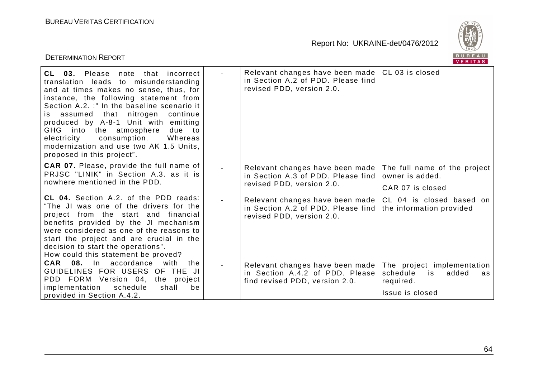

| <b>DETERMINATION REPORT</b>                                                                                                                                                                                                                                                                                                                                                                                                                                           |                                                                                                      | BUREAU<br>VERITAS                                                                           |
|-----------------------------------------------------------------------------------------------------------------------------------------------------------------------------------------------------------------------------------------------------------------------------------------------------------------------------------------------------------------------------------------------------------------------------------------------------------------------|------------------------------------------------------------------------------------------------------|---------------------------------------------------------------------------------------------|
| CL 03. Please<br>that<br>note<br>incorrect<br>translation leads to misunderstanding<br>and at times makes no sense, thus, for<br>instance, the following statement from<br>Section A.2. :" In the baseline scenario it<br>nitrogen<br>assumed that<br>continue<br>IS.<br>produced by A-8-1 Unit with emitting<br>GHG into the atmosphere<br>due to<br>consumption.<br>electricity<br>Whereas<br>modernization and use two AK 1.5 Units,<br>proposed in this project". | Relevant changes have been made<br>in Section A.2 of PDD. Please find<br>revised PDD, version 2.0.   | CL 03 is closed                                                                             |
| <b>CAR 07.</b> Please, provide the full name of<br>PRJSC "LINIK" in Section A.3. as it is<br>nowhere mentioned in the PDD.                                                                                                                                                                                                                                                                                                                                            | Relevant changes have been made<br>in Section A.3 of PDD. Please find<br>revised PDD, version 2.0.   | The full name of the project<br>owner is added.<br>CAR 07 is closed                         |
| CL 04. Section A.2. of the PDD reads:<br>"The JI was one of the drivers for the<br>project from the start and financial<br>benefits provided by the JI mechanism<br>were considered as one of the reasons to<br>start the project and are crucial in the<br>decision to start the operations".<br>How could this statement be proved?                                                                                                                                 | Relevant changes have been made<br>in Section A.2 of PDD. Please find<br>revised PDD, version 2.0.   | CL 04 is closed based on<br>the information provided                                        |
| CAR 08. In accordance<br>the<br>with<br>GUIDELINES FOR USERS OF THE JI<br>PDD FORM Version 04, the project<br>implementation<br>schedule<br>be<br>shall<br>provided in Section A.4.2.                                                                                                                                                                                                                                                                                 | Relevant changes have been made<br>in Section A.4.2 of PDD. Please<br>find revised PDD, version 2.0. | The project implementation<br>schedule<br>added<br>is<br>as<br>required.<br>Issue is closed |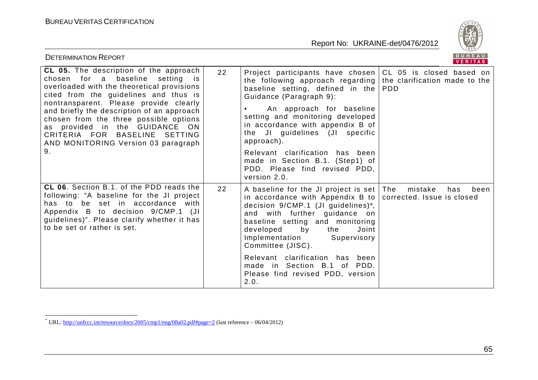

| <b>DETERMINATION REPORT</b>                                                                                                                                                                                                                                                                                                                                                                                            |    |                                                                                                                                                                                                                                                                                                                                                                                                                                                                         | BUREAU<br><b>VERITAS</b> |
|------------------------------------------------------------------------------------------------------------------------------------------------------------------------------------------------------------------------------------------------------------------------------------------------------------------------------------------------------------------------------------------------------------------------|----|-------------------------------------------------------------------------------------------------------------------------------------------------------------------------------------------------------------------------------------------------------------------------------------------------------------------------------------------------------------------------------------------------------------------------------------------------------------------------|--------------------------|
| CL 05. The description of the approach<br>chosen for a baseline setting is<br>overloaded with the theoretical provisions<br>cited from the guidelines and thus is<br>nontransparent. Please provide clearly<br>and briefly the description of an approach<br>chosen from the three possible options<br>as provided in the GUIDANCE ON<br>CRITERIA FOR BASELINE<br>SETTING<br>AND MONITORING Version 03 paragraph<br>9. | 22 | Project participants have chosen CL 05 is closed based on<br>the following approach regarding the clarification made to the<br>baseline setting, defined in the  <br>Guidance (Paragraph 9):<br>An approach for baseline<br>setting and monitoring developed<br>in accordance with appendix B of<br>the JI guidelines (JI specific<br>approach).<br>Relevant clarification has been<br>made in Section B.1. (Step1) of<br>PDD. Please find revised PDD,<br>version 2.0. | <b>PDD</b>               |
| CL 06. Section B.1. of the PDD reads the<br>following: "A baseline for the JI project<br>has to be set in accordance with<br>Appendix B to decision 9/CMP.1 (JI<br>guidelines)". Please clarify whether it has<br>to be set or rather is set.                                                                                                                                                                          | 22 | A baseline for the JI project is set   The<br>in accordance with Appendix B to $\vert$ corrected. Issue is closed<br>decision 9/CMP.1 (JI guidelines)*,<br>and with further guidance on<br>baseline setting and monitoring<br>developed<br>by<br>the<br>Joint<br>Implementation<br>Supervisory<br>Committee (JISC).<br>Relevant clarification has been<br>made in Section B.1 of PDD.<br>Please find revised PDD, version<br>2.0.                                       | mistake<br>has<br>been   |

 \* URL: http://unfccc.int/resource/docs/2005/cmp1/eng/08a02.pdf#page=2 (last reference – 06/04/2012)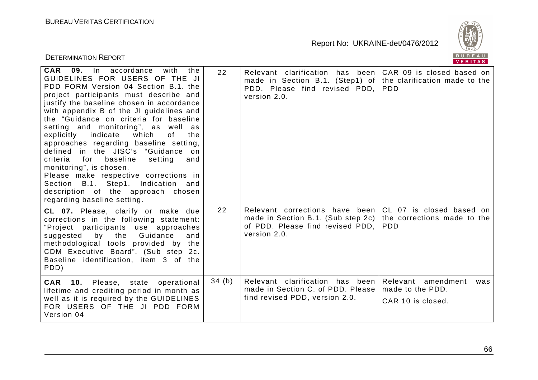

|                                                                                                                                                                                                                                                                                                                                                                                                                                                                                                                                                                                                                                                                                                                    |       |                                                                                                                          | VENIIAS.                                                                 |
|--------------------------------------------------------------------------------------------------------------------------------------------------------------------------------------------------------------------------------------------------------------------------------------------------------------------------------------------------------------------------------------------------------------------------------------------------------------------------------------------------------------------------------------------------------------------------------------------------------------------------------------------------------------------------------------------------------------------|-------|--------------------------------------------------------------------------------------------------------------------------|--------------------------------------------------------------------------|
| <b>CAR</b><br>09.<br>accordance<br>with<br>the<br>In<br>GUIDELINES FOR USERS OF THE JI<br>PDD FORM Version 04 Section B.1. the<br>project participants must describe and<br>justify the baseline chosen in accordance<br>with appendix B of the JI guidelines and<br>the "Guidance on criteria for baseline<br>setting and monitoring", as well as<br>indicate<br>of<br>explicitly<br>which<br>the<br>approaches regarding baseline setting,<br>defined in the JISC's "Guidance on<br>criteria<br>for<br>baseline<br>setting<br>and<br>monitoring", is chosen.<br>Please make respective corrections in<br>Section B.1. Step1. Indication and<br>description of the approach chosen<br>regarding baseline setting. | 22    | Relevant clarification has been<br>made in Section B.1. (Step1) of<br>PDD. Please find revised PDD,<br>version 2.0.      | CAR 09 is closed based on<br>the clarification made to the<br><b>PDD</b> |
| CL 07. Please, clarify or make due<br>corrections in the following statement:<br>"Project participants use approaches<br>Guidance<br>suggested<br>by<br>the<br>and<br>methodological tools provided by the<br>CDM Executive Board". (Sub step 2c.<br>Baseline identification, item 3 of the<br>PDD)                                                                                                                                                                                                                                                                                                                                                                                                                | 22    | Relevant corrections have been<br>made in Section B.1. (Sub step 2c)<br>of PDD. Please find revised PDD.<br>version 2.0. | CL 07 is closed based on<br>the corrections made to the<br><b>PDD</b>    |
| CAR 10. Please, state<br>operational<br>lifetime and crediting period in month as<br>well as it is required by the GUIDELINES<br>FOR USERS OF THE JI PDD FORM<br>Version 04                                                                                                                                                                                                                                                                                                                                                                                                                                                                                                                                        | 34(b) | Relevant clarification has been<br>made in Section C. of PDD. Please<br>find revised PDD, version 2.0.                   | Relevant amendment<br>was<br>made to the PDD.<br>CAR 10 is closed.       |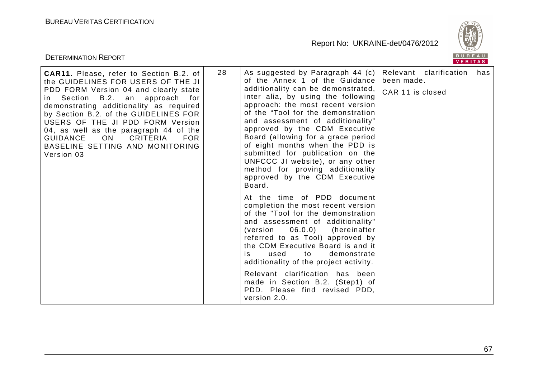

| <b>DETERMINATION REPORT</b>                                                                                                                                                                                                                                                                                                                                                                                                                |    |                                                                                                                                                                                                                                                                                                                                                                                                                                                                                                                                                                                                                                                                                                                                                                                                                                                                                                                                                                                                   | BUREAU<br>VERITAS                                           |     |
|--------------------------------------------------------------------------------------------------------------------------------------------------------------------------------------------------------------------------------------------------------------------------------------------------------------------------------------------------------------------------------------------------------------------------------------------|----|---------------------------------------------------------------------------------------------------------------------------------------------------------------------------------------------------------------------------------------------------------------------------------------------------------------------------------------------------------------------------------------------------------------------------------------------------------------------------------------------------------------------------------------------------------------------------------------------------------------------------------------------------------------------------------------------------------------------------------------------------------------------------------------------------------------------------------------------------------------------------------------------------------------------------------------------------------------------------------------------------|-------------------------------------------------------------|-----|
| CAR11. Please, refer to Section B.2. of<br>the GUIDELINES FOR USERS OF THE JI<br>PDD FORM Version 04 and clearly state<br>Section B.2. an approach for<br>in.<br>demonstrating additionality as required<br>by Section B.2. of the GUIDELINES FOR<br>USERS OF THE JI PDD FORM Version<br>04, as well as the paragraph 44 of the<br><b>GUIDANCE</b><br><b>ON</b><br>CRITERIA<br><b>FOR</b><br>BASELINE SETTING AND MONITORING<br>Version 03 | 28 | As suggested by Paragraph 44 (c)<br>of the Annex 1 of the Guidance<br>additionality can be demonstrated,<br>inter alia, by using the following<br>approach: the most recent version<br>of the "Tool for the demonstration<br>and assessment of additionality"<br>approved by the CDM Executive<br>Board (allowing for a grace period<br>of eight months when the PDD is<br>submitted for publication on the<br>UNFCCC JI website), or any other<br>method for proving additionality<br>approved by the CDM Executive<br>Board.<br>At the time of PDD document<br>completion the most recent version<br>of the "Tool for the demonstration<br>and assessment of additionality"<br>06.0.0)<br>(version<br>(hereinafter<br>referred to as Tool) approved by<br>the CDM Executive Board is and it<br>used<br>to<br>demonstrate<br>is<br>additionality of the project activity.<br>Relevant clarification has been<br>made in Section B.2. (Step1) of<br>PDD. Please find revised PDD,<br>version 2.0. | Relevant<br>clarification<br>been made.<br>CAR 11 is closed | has |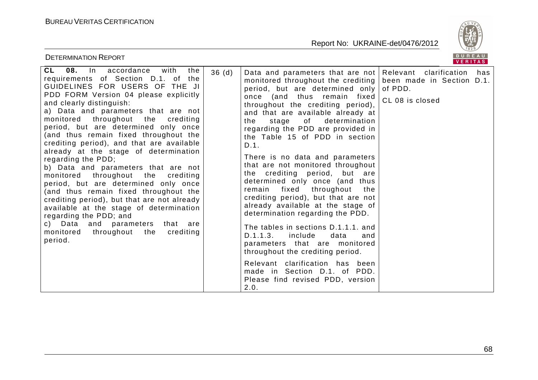

|                                                                                                                                                                                                                                                                                                                                                                                                                                                                                                                                                                                                                                                                                                                                                                                                                                                     |                                                                                                                                                                                                                                                                                                                                                                                                                                                                                                                                                                                                                                                                                                                                                                                                                                                                                                                                  | V E N I I A 3                                                  |
|-----------------------------------------------------------------------------------------------------------------------------------------------------------------------------------------------------------------------------------------------------------------------------------------------------------------------------------------------------------------------------------------------------------------------------------------------------------------------------------------------------------------------------------------------------------------------------------------------------------------------------------------------------------------------------------------------------------------------------------------------------------------------------------------------------------------------------------------------------|----------------------------------------------------------------------------------------------------------------------------------------------------------------------------------------------------------------------------------------------------------------------------------------------------------------------------------------------------------------------------------------------------------------------------------------------------------------------------------------------------------------------------------------------------------------------------------------------------------------------------------------------------------------------------------------------------------------------------------------------------------------------------------------------------------------------------------------------------------------------------------------------------------------------------------|----------------------------------------------------------------|
| CL 08. In accordance<br>with<br>the<br>36(d)<br>requirements of Section D.1. of the<br>GUIDELINES FOR USERS OF THE JI<br>PDD FORM Version 04 please explicitly<br>and clearly distinguish:<br>a) Data and parameters that are not<br>monitored throughout the crediting<br>period, but are determined only once<br>(and thus remain fixed throughout the<br>crediting period), and that are available<br>already at the stage of determination<br>regarding the PDD;<br>b) Data and parameters that are not<br>monitored throughout the crediting<br>period, but are determined only once<br>(and thus remain fixed throughout the<br>crediting period), but that are not already<br>available at the stage of determination<br>regarding the PDD; and<br>c) Data and parameters<br>that are<br>monitored<br>throughout the<br>crediting<br>period. | Data and parameters that are not Relevant clarification<br>monitored throughout the crediting<br>period, but are determined only<br>once (and thus remain fixed<br>throughout the crediting period),<br>and that are available already at<br>of<br>determination<br>the<br>stage<br>regarding the PDD are provided in<br>the Table 15 of PDD in section<br>D.1.<br>There is no data and parameters<br>that are not monitored throughout<br>the crediting period, but are<br>determined only once (and thus<br>remain fixed<br>throughout<br>the<br>crediting period), but that are not<br>already available at the stage of<br>determination regarding the PDD.<br>The tables in sections D.1.1.1. and<br>D.1.1.3.<br>include<br>data<br>and<br>parameters that are monitored<br>throughout the crediting period.<br>Relevant clarification has been<br>made in Section D.1. of PDD.<br>Please find revised PDD, version<br>2.0. | has<br>been made in Section D.1.<br>of PDD.<br>CL 08 is closed |